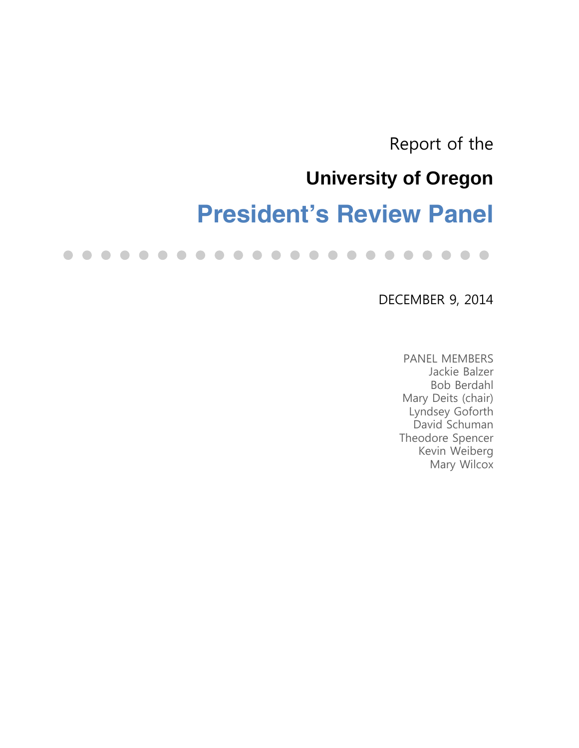Report of the

# **University of Oregon**

# **President's Review Panel**

 $\blacksquare$  $\bullet$  $\bullet$  $\bullet$  $\bullet$  $\bullet$  $\bullet$  $\bullet$  $\bullet$  $\bullet$ . . . . . . . . .  $\blacksquare$  $\Box$ 

## DECEMBER 9, 2014

PANEL MEMBERS Jackie Balzer Bob Berdahl Mary Deits (chair) Lyndsey Goforth David Schuman Theodore Spencer Kevin Weiberg Mary Wilcox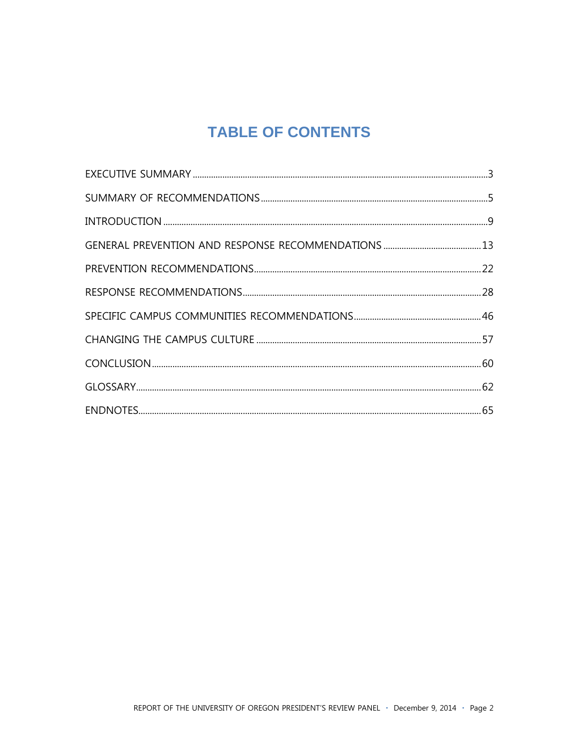## **TABLE OF CONTENTS**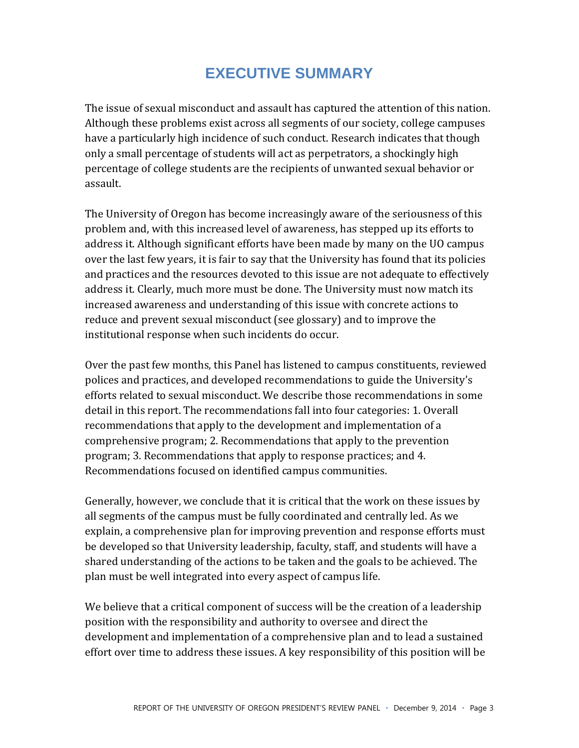## **EXECUTIVE SUMMARY**

The issue of sexual misconduct and assault has captured the attention of this nation. Although these problems exist across all segments of our society, college campuses have a particularly high incidence of such conduct. Research indicates that though only a small percentage of students will act as perpetrators, a shockingly high percentage of college students are the recipients of unwanted sexual behavior or assault.

The University of Oregon has become increasingly aware of the seriousness of this problem and, with this increased level of awareness, has stepped up its efforts to address it. Although significant efforts have been made by many on the UO campus over the last few years, it is fair to say that the University has found that its policies and practices and the resources devoted to this issue are not adequate to effectively address it. Clearly, much more must be done. The University must now match its increased awareness and understanding of this issue with concrete actions to reduce and prevent sexual misconduct (see glossary) and to improve the institutional response when such incidents do occur.

Over the past few months, this Panel has listened to campus constituents, reviewed polices and practices, and developed recommendations to guide the University's efforts related to sexual misconduct. We describe those recommendations in some detail in this report. The recommendations fall into four categories: 1. Overall recommendations that apply to the development and implementation of a comprehensive program; 2. Recommendations that apply to the prevention program; 3. Recommendations that apply to response practices; and 4. Recommendations focused on identified campus communities.

Generally, however, we conclude that it is critical that the work on these issues by all segments of the campus must be fully coordinated and centrally led. As we explain, a comprehensive plan for improving prevention and response efforts must be developed so that University leadership, faculty, staff, and students will have a shared understanding of the actions to be taken and the goals to be achieved. The plan must be well integrated into every aspect of campus life.

We believe that a critical component of success will be the creation of a leadership position with the responsibility and authority to oversee and direct the development and implementation of a comprehensive plan and to lead a sustained effort over time to address these issues. A key responsibility of this position will be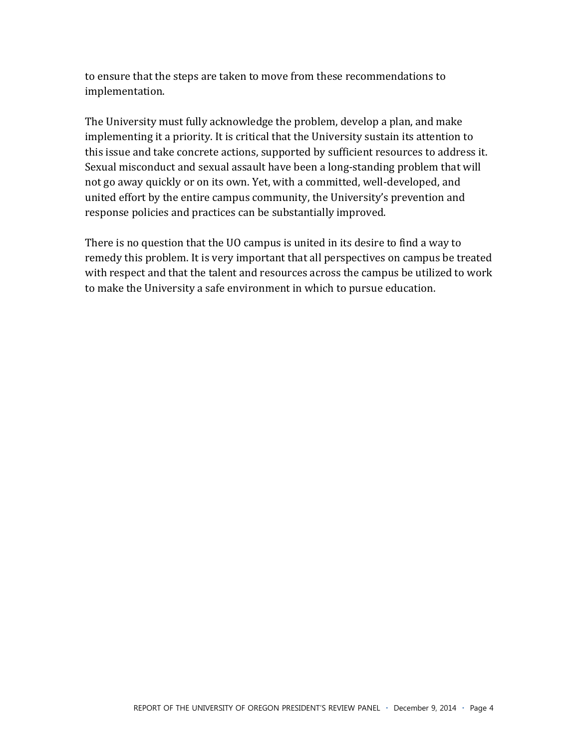to ensure that the steps are taken to move from these recommendations to implementation.

The University must fully acknowledge the problem, develop a plan, and make implementing it a priority. It is critical that the University sustain its attention to this issue and take concrete actions, supported by sufficient resources to address it. Sexual misconduct and sexual assault have been a long-standing problem that will not go away quickly or on its own. Yet, with a committed, well-developed, and united effort by the entire campus community, the University's prevention and response policies and practices can be substantially improved.

There is no question that the UO campus is united in its desire to find a way to remedy this problem. It is very important that all perspectives on campus be treated with respect and that the talent and resources across the campus be utilized to work to make the University a safe environment in which to pursue education.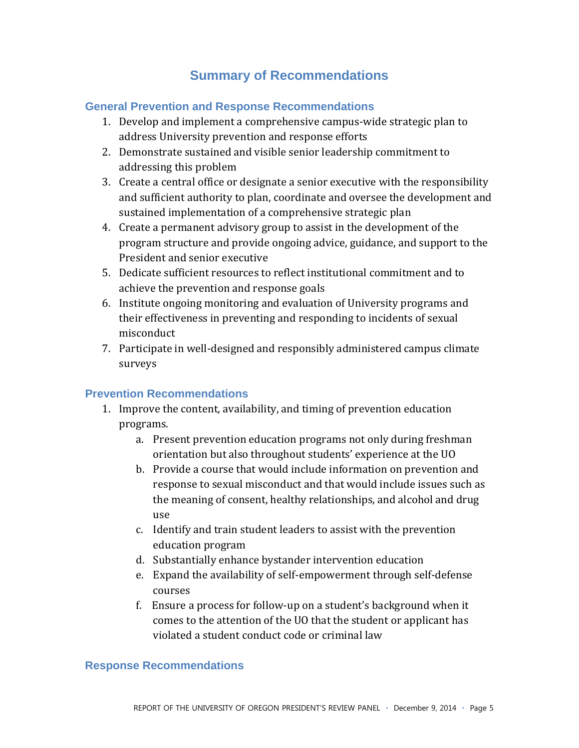## **Summary of Recommendations**

#### **General Prevention and Response Recommendations**

- 1. Develop and implement a comprehensive campus-wide strategic plan to address University prevention and response efforts
- 2. Demonstrate sustained and visible senior leadership commitment to addressing this problem
- 3. Create a central office or designate a senior executive with the responsibility and sufficient authority to plan, coordinate and oversee the development and sustained implementation of a comprehensive strategic plan
- 4. Create a permanent advisory group to assist in the development of the program structure and provide ongoing advice, guidance, and support to the President and senior executive
- 5. Dedicate sufficient resources to reflect institutional commitment and to achieve the prevention and response goals
- 6. Institute ongoing monitoring and evaluation of University programs and their effectiveness in preventing and responding to incidents of sexual misconduct
- 7. Participate in well-designed and responsibly administered campus climate surveys

#### **Prevention Recommendations**

- 1. Improve the content, availability, and timing of prevention education programs.
	- a. Present prevention education programs not only during freshman orientation but also throughout students' experience at the UO
	- b. Provide a course that would include information on prevention and response to sexual misconduct and that would include issues such as the meaning of consent, healthy relationships, and alcohol and drug use\$
	- c. Identify and train student leaders to assist with the prevention education program
	- d. Substantially enhance bystander intervention education
	- e. Expand the availability of self-empowerment through self-defense courses
	- f. Ensure a process for follow-up on a student's background when it comes to the attention of the UO that the student or applicant has violated a student conduct code or criminal law

#### **Response Recommendations**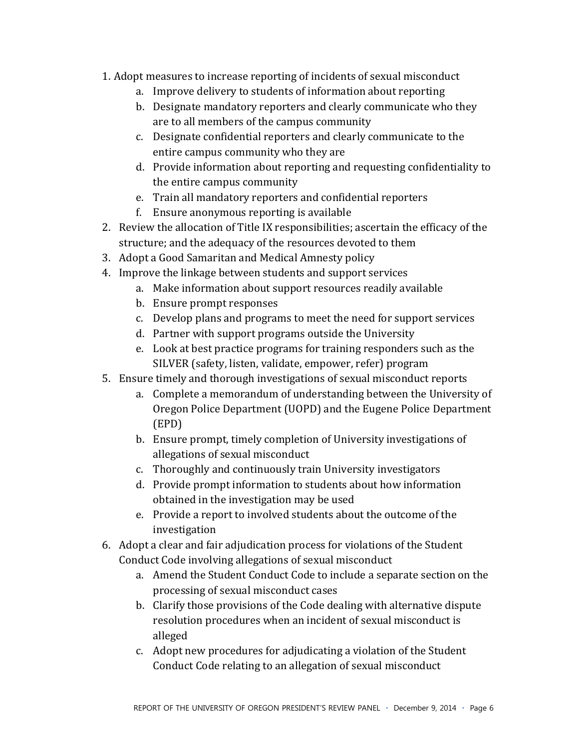- 1. Adopt measures to increase reporting of incidents of sexual misconduct
	- a. Improve delivery to students of information about reporting
	- b. Designate mandatory reporters and clearly communicate who they are to all members of the campus community
	- c. Designate confidential reporters and clearly communicate to the entire campus community who they are
	- d. Provide information about reporting and requesting confidentiality to the entire campus community
	- e. Train all mandatory reporters and confidential reporters
	- f. Ensure anonymous reporting is available
- 2. Review the allocation of Title IX responsibilities; ascertain the efficacy of the structure; and the adequacy of the resources devoted to them
- 3. Adopt a Good Samaritan and Medical Amnesty policy
- 4. Improve the linkage between students and support services
	- a. Make information about support resources readily available
	- b. Ensure prompt responses
	- c. Develop plans and programs to meet the need for support services
	- d. Partner with support programs outside the University
	- e. Look at best practice programs for training responders such as the SILVER (safety, listen, validate, empower, refer) program
- 5. Ensure timely and thorough investigations of sexual misconduct reports
	- a. Complete a memorandum of understanding between the University of Oregon Police Department (UOPD) and the Eugene Police Department (EPD)
	- b. Ensure prompt, timely completion of University investigations of allegations of sexual misconduct
	- c. Thoroughly and continuously train University investigators
	- d. Provide prompt information to students about how information obtained in the investigation may be used
	- e. Provide a report to involved students about the outcome of the investigation
- 6. Adopt a clear and fair adjudication process for violations of the Student Conduct Code involving allegations of sexual misconduct
	- a. Amend the Student Conduct Code to include a separate section on the processing of sexual misconduct cases
	- b. Clarify those provisions of the Code dealing with alternative dispute resolution procedures when an incident of sexual misconduct is alleged
	- c. Adopt new procedures for adjudicating a violation of the Student Conduct Code relating to an allegation of sexual misconduct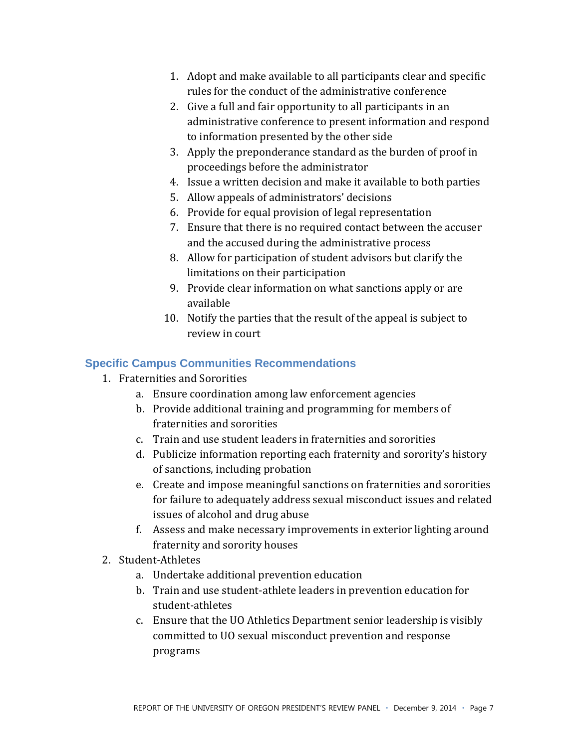- 1. Adopt and make available to all participants clear and specific rules for the conduct of the administrative conference
- 2. Give a full and fair opportunity to all participants in an administrative conference to present information and respond to information presented by the other side
- 3. Apply the preponderance standard as the burden of proof in proceedings before the administrator
- 4. Issue a written decision and make it available to both parties
- 5. Allow appeals of administrators' decisions
- 6. Provide for equal provision of legal representation
- 7. Ensure that there is no required contact between the accuser and the accused during the administrative process
- 8. Allow for participation of student advisors but clarify the limitations on their participation
- 9. Provide clear information on what sanctions apply or are available
- 10. Notify the parties that the result of the appeal is subject to review in court

#### **Specific Campus Communities Recommendations**

- 1. Fraternities and Sororities
	- a. Ensure coordination among law enforcement agencies
	- b. Provide additional training and programming for members of fraternities and sororities
	- c. Train and use student leaders in fraternities and sororities
	- d. Publicize information reporting each fraternity and sorority's history of sanctions, including probation
	- e. Create and impose meaningful sanctions on fraternities and sororities for failure to adequately address sexual misconduct issues and related issues of alcohol and drug abuse
	- f. Assess and make necessary improvements in exterior lighting around fraternity and sorority houses
- 2. Student-Athletes
	- a. Undertake additional prevention education
	- b. Train and use student-athlete leaders in prevention education for student-athletes
	- c. Ensure that the UO Athletics Department senior leadership is visibly committed to UO sexual misconduct prevention and response programs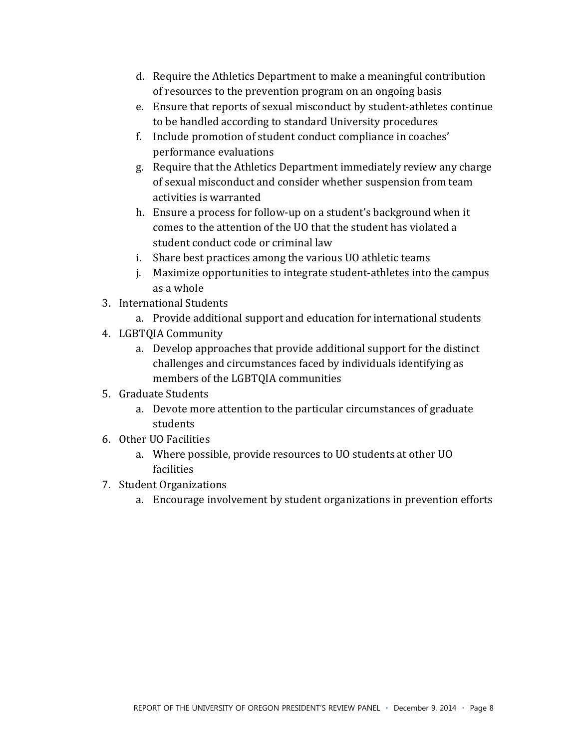- d. Require the Athletics Department to make a meaningful contribution of resources to the prevention program on an ongoing basis
- e. Ensure that reports of sexual misconduct by student-athletes continue to be handled according to standard University procedures
- f. Include promotion of student conduct compliance in coaches' performance evaluations
- g. Require that the Athletics Department immediately review any charge of sexual misconduct and consider whether suspension from team activities is warranted
- h. Ensure a process for follow-up on a student's background when it comes to the attention of the UO that the student has violated a student conduct code or criminal law
- i. Share best practices among the various UO athletic teams
- j. Maximize opportunities to integrate student-athletes into the campus as a whole
- 3. International Students
	- a. Provide additional support and education for international students
- 4. LGBTQIA Community
	- a. Develop approaches that provide additional support for the distinct challenges and circumstances faced by individuals identifying as members of the LGBTQIA communities
- 5. Graduate Students
	- a. Devote more attention to the particular circumstances of graduate students
- 6. Other UO Facilities
	- a. Where possible, provide resources to UO students at other UO facilities
- 7. Student Organizations
	- a. Encourage involvement by student organizations in prevention efforts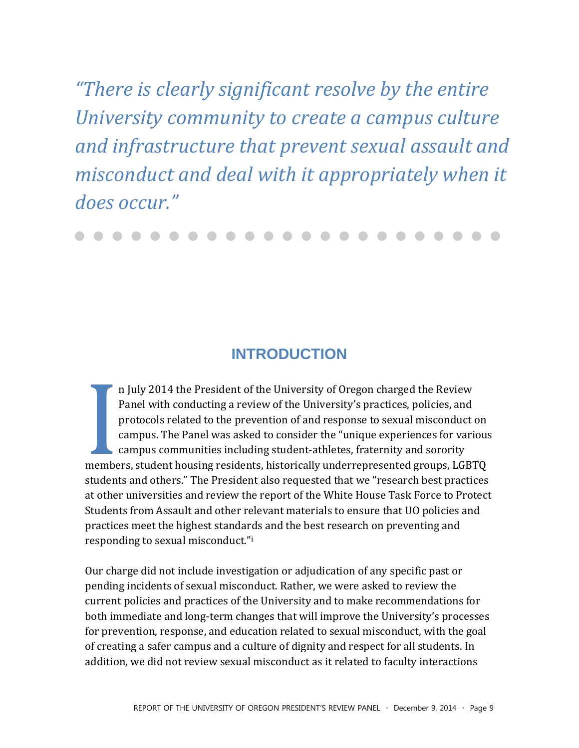"There is clearly significant resolve by the entire" University community to create a campus culture and infrastructure that prevent sexual assault and misconduct and deal with it appropriately when it does occur."

## **INTRODUCTION**

n July 2014 the President of the University of Oregon charged the Review Panel with conducting a review of the University's practices, policies, and protocols related to the prevention of and response to sexual misconduct on campus. The Panel was asked to consider the "unique experiences for various campus communities including student-athletes, fraternity and sorority members, student housing residents, historically underrepresented groups, LGBTQ students and others." The President also requested that we "research best practices at other universities and review the report of the White House Task Force to Protect Students from Assault and other relevant materials to ensure that UO policies and practices meet the highest standards and the best research on preventing and responding to sexual misconduct."i

Our charge did not include investigation or adjudication of any specific past or pending incidents of sexual misconduct. Rather, we were asked to review the current policies and practices of the University and to make recommendations for both immediate and long-term changes that will improve the University's processes for prevention, response, and education related to sexual misconduct, with the goal of creating a safer campus and a culture of dignity and respect for all students. In addition, we did not review sexual misconduct as it related to faculty interactions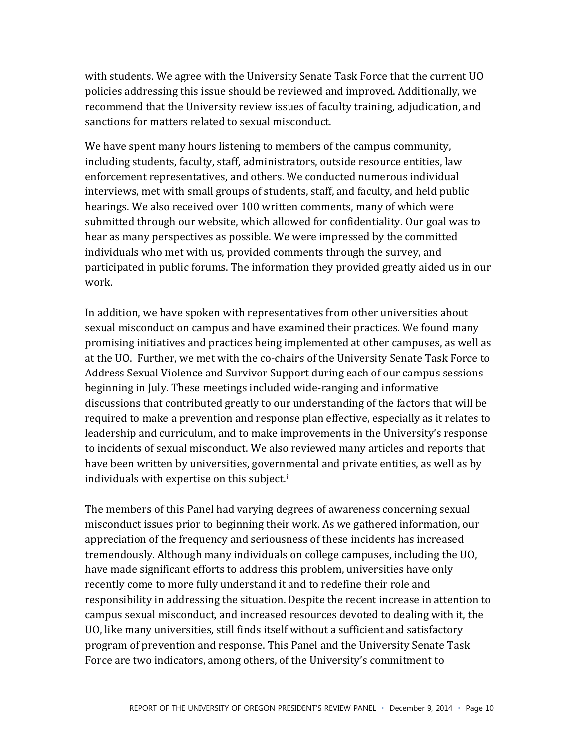with students. We agree with the University Senate Task Force that the current UO policies addressing this issue should be reviewed and improved. Additionally, we recommend that the University review issues of faculty training, adjudication, and sanctions for matters related to sexual misconduct.

We have spent many hours listening to members of the campus community, including students, faculty, staff, administrators, outside resource entities, law enforcement representatives, and others. We conducted numerous individual interviews, met with small groups of students, staff, and faculty, and held public hearings. We also received over 100 written comments, many of which were submitted through our website, which allowed for confidentiality. Our goal was to hear as many perspectives as possible. We were impressed by the committed individuals who met with us, provided comments through the survey, and participated in public forums. The information they provided greatly aided us in our work.

In addition, we have spoken with representatives from other universities about sexual misconduct on campus and have examined their practices. We found many promising initiatives and practices being implemented at other campuses, as well as at the UO. Further, we met with the co-chairs of the University Senate Task Force to Address Sexual Violence and Survivor Support during each of our campus sessions beginning in July. These meetings included wide-ranging and informative discussions that contributed greatly to our understanding of the factors that will be required to make a prevention and response plan effective, especially as it relates to leadership and curriculum, and to make improvements in the University's response to incidents of sexual misconduct. We also reviewed many articles and reports that have been written by universities, governmental and private entities, as well as by individuals with expertise on this subject.<sup>ii</sup>

The members of this Panel had varying degrees of awareness concerning sexual misconduct issues prior to beginning their work. As we gathered information, our appreciation of the frequency and seriousness of these incidents has increased tremendously. Although many individuals on college campuses, including the UO, have made significant efforts to address this problem, universities have only recently come to more fully understand it and to redefine their role and responsibility in addressing the situation. Despite the recent increase in attention to campus sexual misconduct, and increased resources devoted to dealing with it, the UO, like many universities, still finds itself without a sufficient and satisfactory program of prevention and response. This Panel and the University Senate Task Force are two indicators, among others, of the University's commitment to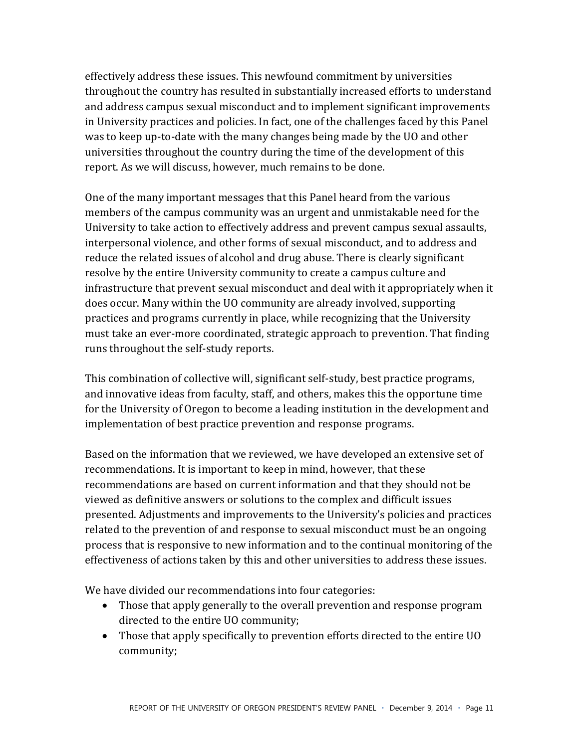effectively address these issues. This newfound commitment by universities throughout the country has resulted in substantially increased efforts to understand and address campus sexual misconduct and to implement significant improvements in University practices and policies. In fact, one of the challenges faced by this Panel was to keep up-to-date with the many changes being made by the UO and other universities throughout the country during the time of the development of this report. As we will discuss, however, much remains to be done.

One of the many important messages that this Panel heard from the various members of the campus community was an urgent and unmistakable need for the University to take action to effectively address and prevent campus sexual assaults, interpersonal violence, and other forms of sexual misconduct, and to address and reduce the related issues of alcohol and drug abuse. There is clearly significant resolve by the entire University community to create a campus culture and infrastructure that prevent sexual misconduct and deal with it appropriately when it does occur. Many within the UO community are already involved, supporting practices and programs currently in place, while recognizing that the University must take an ever-more coordinated, strategic approach to prevention. That finding runs throughout the self-study reports.

This combination of collective will, significant self-study, best practice programs, and innovative ideas from faculty, staff, and others, makes this the opportune time for the University of Oregon to become a leading institution in the development and implementation of best practice prevention and response programs.

Based on the information that we reviewed, we have developed an extensive set of recommendations. It is important to keep in mind, however, that these recommendations are based on current information and that they should not be viewed as definitive answers or solutions to the complex and difficult issues presented. Adjustments and improvements to the University's policies and practices related to the prevention of and response to sexual misconduct must be an ongoing process that is responsive to new information and to the continual monitoring of the effectiveness of actions taken by this and other universities to address these issues.

We have divided our recommendations into four categories:

- Those that apply generally to the overall prevention and response program directed to the entire UO community;
- Those that apply specifically to prevention efforts directed to the entire UO community;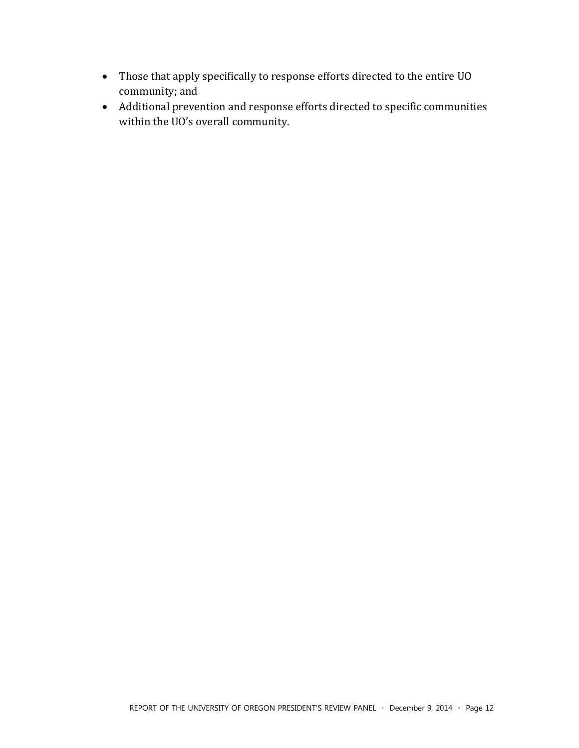- Those that apply specifically to response efforts directed to the entire UO community; and
- Additional prevention and response efforts directed to specific communities within the UO's overall community.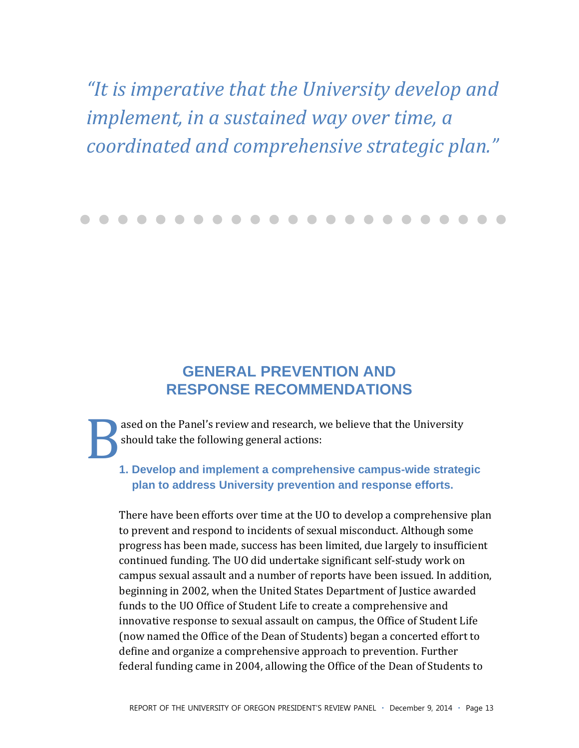"It is imperative that the University develop and implement, in a sustained way over time, a coordinated and comprehensive strategic plan."

## **GENERAL PREVENTION AND RESPONSE RECOMMENDATIONS**

ased on the Panel's review and research, we believe that the University should take the following general actions:

#### 1. Develop and implement a comprehensive campus-wide strategic plan to address University prevention and response efforts.

There have been efforts over time at the UO to develop a comprehensive plan to prevent and respond to incidents of sexual misconduct. Although some progress has been made, success has been limited, due largely to insufficient continued funding. The UO did undertake significant self-study work on campus sexual assault and a number of reports have been issued. In addition, beginning in 2002, when the United States Department of Justice awarded funds to the UO Office of Student Life to create a comprehensive and innovative response to sexual assault on campus, the Office of Student Life (now named the Office of the Dean of Students) began a concerted effort to define and organize a comprehensive approach to prevention. Further federal funding came in 2004, allowing the Office of the Dean of Students to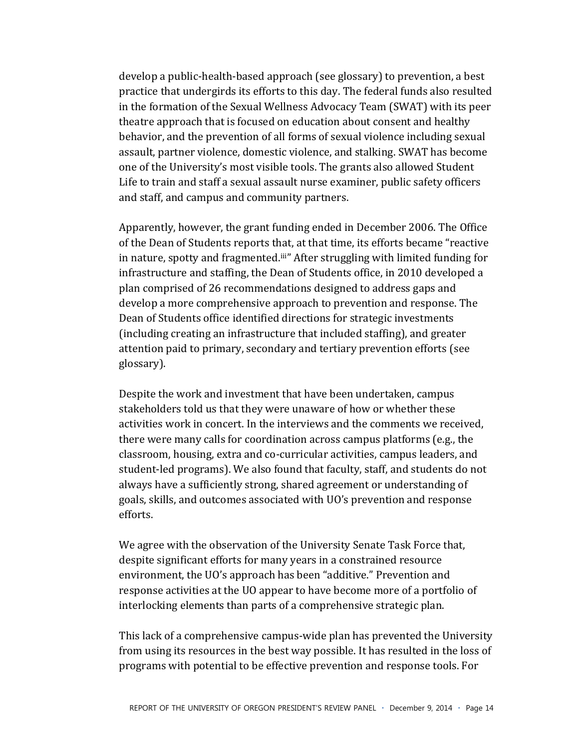develop a public-health-based approach (see glossary) to prevention, a best practice that undergirds its efforts to this day. The federal funds also resulted in the formation of the Sexual Wellness Advocacy Team (SWAT) with its peer theatre approach that is focused on education about consent and healthy behavior, and the prevention of all forms of sexual violence including sexual assault, partner violence, domestic violence, and stalking. SWAT has become one of the University's most visible tools. The grants also allowed Student Life to train and staff a sexual assault nurse examiner, public safety officers and staff, and campus and community partners.

Apparently, however, the grant funding ended in December 2006. The Office of the Dean of Students reports that, at that time, its efforts became "reactive" in nature, spotty and fragmented.<sup>iii</sup>" After struggling with limited funding for infrastructure and staffing, the Dean of Students office, in 2010 developed a plan comprised of 26 recommendations designed to address gaps and develop a more comprehensive approach to prevention and response. The Dean of Students office identified directions for strategic investments (including creating an infrastructure that included staffing), and greater attention paid to primary, secondary and tertiary prevention efforts (see glossary).

Despite the work and investment that have been undertaken, campus stakeholders told us that they were unaware of how or whether these activities work in concert. In the interviews and the comments we received, there were many calls for coordination across campus platforms (e.g., the classroom, housing, extra and co-curricular activities, campus leaders, and student-led programs). We also found that faculty, staff, and students do not always have a sufficiently strong, shared agreement or understanding of goals, skills, and outcomes associated with UO's prevention and response efforts.

We agree with the observation of the University Senate Task Force that, despite significant efforts for many years in a constrained resource environment, the UO's approach has been "additive." Prevention and response activities at the UO appear to have become more of a portfolio of interlocking elements than parts of a comprehensive strategic plan.

This lack of a comprehensive campus-wide plan has prevented the University from using its resources in the best way possible. It has resulted in the loss of programs with potential to be effective prevention and response tools. For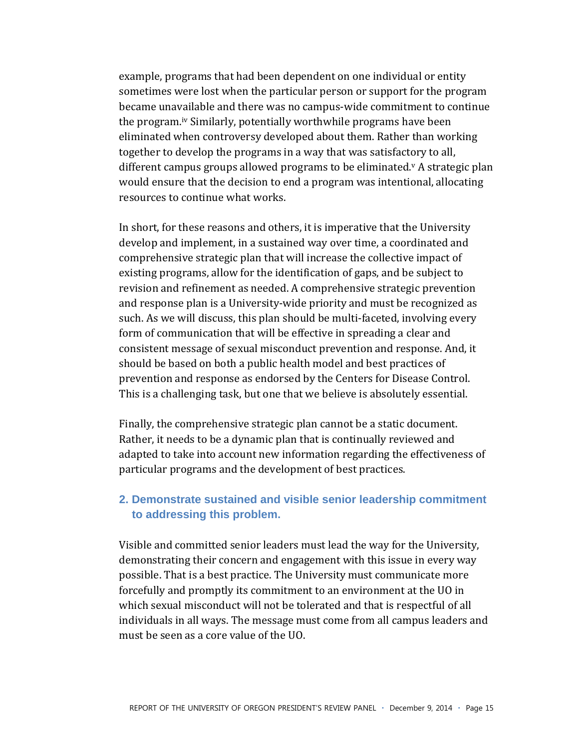example, programs that had been dependent on one individual or entity sometimes were lost when the particular person or support for the program became unavailable and there was no campus-wide commitment to continue the program.<sup>iv</sup> Similarly, potentially worthwhile programs have been eliminated when controversy developed about them. Rather than working together to develop the programs in a way that was satisfactory to all, different campus groups allowed programs to be eliminated.<sup>v</sup> A strategic plan would ensure that the decision to end a program was intentional, allocating resources to continue what works.

In short, for these reasons and others, it is imperative that the University develop and implement, in a sustained way over time, a coordinated and comprehensive strategic plan that will increase the collective impact of existing programs, allow for the identification of gaps, and be subject to revision and refinement as needed. A comprehensive strategic prevention and response plan is a University-wide priority and must be recognized as such. As we will discuss, this plan should be multi-faceted, involving every form of communication that will be effective in spreading a clear and consistent message of sexual misconduct prevention and response. And, it should be based on both a public health model and best practices of prevention and response as endorsed by the Centers for Disease Control. This is a challenging task, but one that we believe is absolutely essential.

Finally, the comprehensive strategic plan cannot be a static document. Rather, it needs to be a dynamic plan that is continually reviewed and adapted to take into account new information regarding the effectiveness of particular programs and the development of best practices.

#### 2. Demonstrate sustained and visible senior leadership commitment to addressing this problem.

Visible and committed senior leaders must lead the way for the University, demonstrating their concern and engagement with this issue in every way possible. That is a best practice. The University must communicate more forcefully and promptly its commitment to an environment at the UO in which sexual misconduct will not be tolerated and that is respectful of all individuals in all ways. The message must come from all campus leaders and must be seen as a core value of the UO.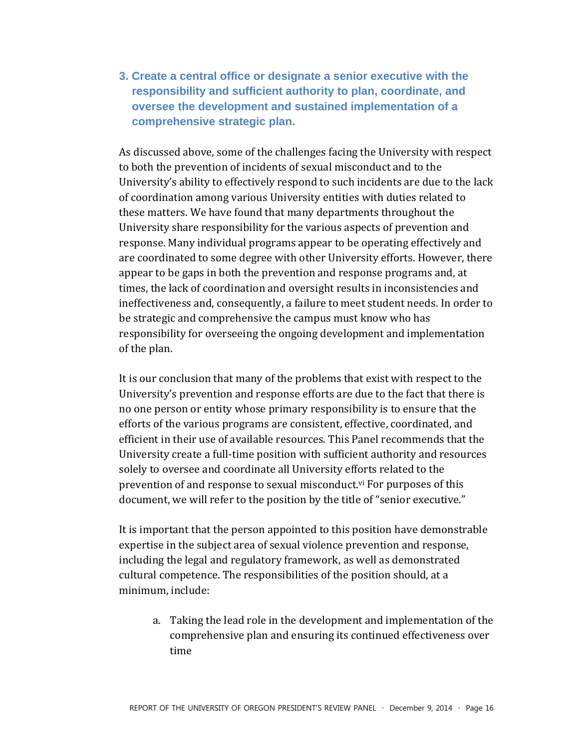**3. Create a central office or designate a senior executive with the responsibility and sufficient authority to plan, coordinate, and oversee the development and sustained implementation of a comprehensive strategic plan.** 

As discussed above, some of the challenges facing the University with respect to both the prevention of incidents of sexual misconduct and to the University's ability to effectively respond to such incidents are due to the lack of coordination among various University entities with duties related to these matters. We have found that many departments throughout the University share responsibility for the various aspects of prevention and response. Many individual programs appear to be operating effectively and are coordinated to some degree with other University efforts. However, there appear to be gaps in both the prevention and response programs and, at times, the lack of coordination and oversight results in inconsistencies and ineffectiveness and, consequently, a failure to meet student needs. In order to be strategic and comprehensive the campus must know who has responsibility for overseeing the ongoing development and implementation of the plan.

It is our conclusion that many of the problems that exist with respect to the University's prevention and response efforts are due to the fact that there is no one person or entity whose primary responsibility is to ensure that the efforts of the various programs are consistent, effective, coordinated, and efficient in their use of available resources. This Panel recommends that the University create a full-time position with sufficient authority and resources solely to oversee and coordinate all University efforts related to the prevention of and response to sexual misconduct.<sup>vi</sup> For purposes of this document, we will refer to the position by the title of "senior executive."

It is important that the person appointed to this position have demonstrable expertise in the subject area of sexual violence prevention and response, including the legal and regulatory framework, as well as demonstrated cultural competence. The responsibilities of the position should, at a minimum, include:

a. Taking the lead role in the development and implementation of the comprehensive plan and ensuring its continued effectiveness over time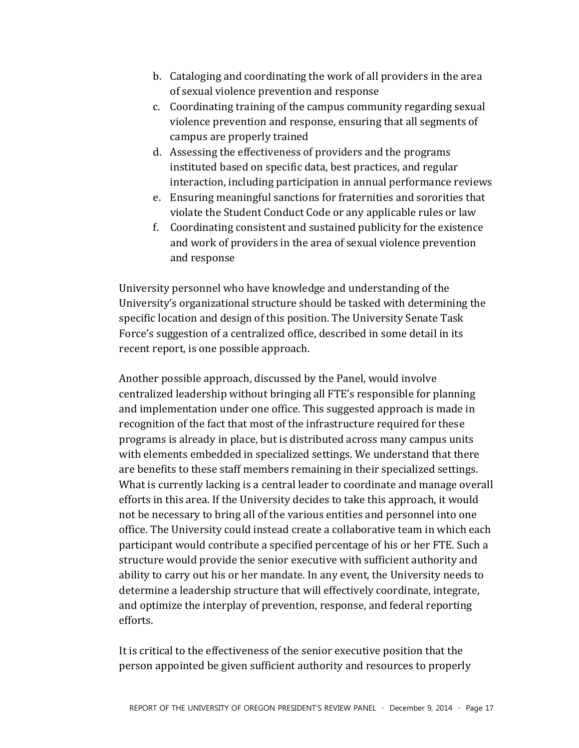- b. Cataloging and coordinating the work of all providers in the area of sexual violence prevention and response
- c. Coordinating training of the campus community regarding sexual violence prevention and response, ensuring that all segments of campus are properly trained
- d. Assessing the effectiveness of providers and the programs instituted based on specific data, best practices, and regular interaction, including participation in annual performance reviews
- e. Ensuring meaningful sanctions for fraternities and sororities that violate the Student Conduct Code or any applicable rules or law
- f. Coordinating consistent and sustained publicity for the existence and work of providers in the area of sexual violence prevention and response

University personnel who have knowledge and understanding of the University's organizational structure should be tasked with determining the specific location and design of this position. The University Senate Task Force's suggestion of a centralized office, described in some detail in its recent report, is one possible approach.

Another possible approach, discussed by the Panel, would involve centralized leadership without bringing all FTE's responsible for planning and implementation under one office. This suggested approach is made in recognition of the fact that most of the infrastructure required for these programs is already in place, but is distributed across many campus units with elements embedded in specialized settings. We understand that there are benefits to these staff members remaining in their specialized settings. What is currently lacking is a central leader to coordinate and manage overall efforts in this area. If the University decides to take this approach, it would not be necessary to bring all of the various entities and personnel into one office. The University could instead create a collaborative team in which each participant would contribute a specified percentage of his or her FTE. Such a structure would provide the senior executive with sufficient authority and ability to carry out his or her mandate. In any event, the University needs to determine a leadership structure that will effectively coordinate, integrate, and optimize the interplay of prevention, response, and federal reporting efforts.

It is critical to the effectiveness of the senior executive position that the person appointed be given sufficient authority and resources to properly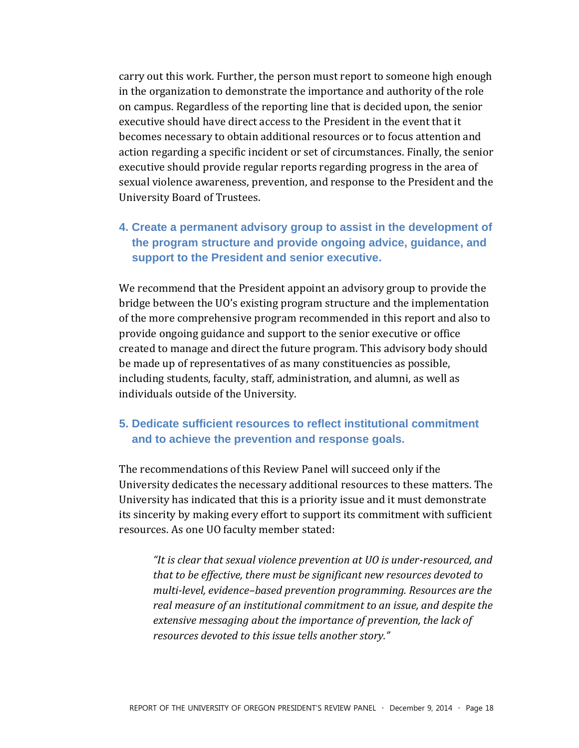carry out this work. Further, the person must report to someone high enough in the organization to demonstrate the importance and authority of the role on campus. Regardless of the reporting line that is decided upon, the senior executive should have direct access to the President in the event that it becomes necessary to obtain additional resources or to focus attention and action regarding a specific incident or set of circumstances. Finally, the senior executive should provide regular reports regarding progress in the area of sexual violence awareness, prevention, and response to the President and the University Board of Trustees.

**4. Create a permanent advisory group to assist in the development of the program structure and provide ongoing advice, guidance, and support to the President and senior executive.** 

We recommend that the President appoint an advisory group to provide the bridge between the UO's existing program structure and the implementation of the more comprehensive program recommended in this report and also to provide ongoing guidance and support to the senior executive or office created to manage and direct the future program. This advisory body should be made up of representatives of as many constituencies as possible, including students, faculty, staff, administration, and alumni, as well as individuals outside of the University.

#### **5. Dedicate sufficient resources to reflect institutional commitment and to achieve the prevention and response goals.**

The recommendations of this Review Panel will succeed only if the University dedicates the necessary additional resources to these matters. The University has indicated that this is a priority issue and it must demonstrate its sincerity by making every effort to support its commitment with sufficient resources. As one UO faculty member stated:

"It is clear that sexual violence prevention at UO is under-resourced, and that to be effective, there must be significant new resources devoted to *multi-level, evidence-based prevention programming. Resources are the real\*measure\*of\*an\*institutional\*commitment\*to\*an\*issue,\*and\*despite\*the\** extensive messaging about the importance of prevention, the lack of *resources devoted to this issue tells another story."*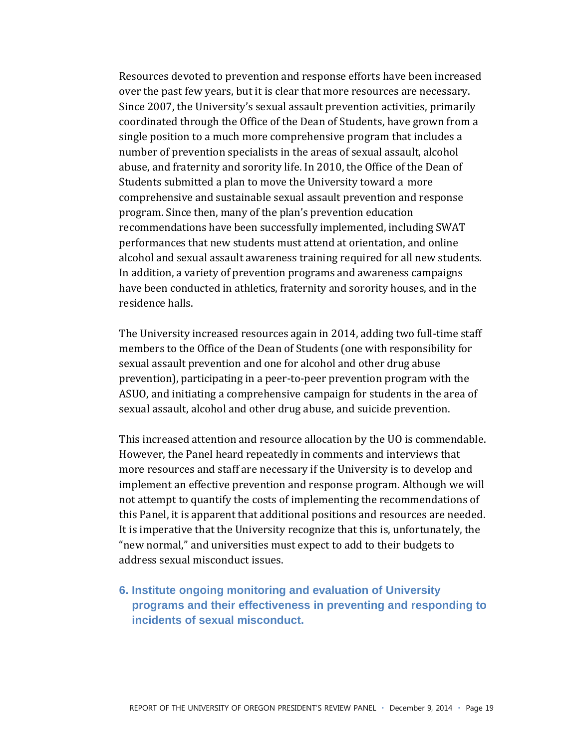Resources devoted to prevention and response efforts have been increased over the past few years, but it is clear that more resources are necessary. Since 2007, the University's sexual assault prevention activities, primarily coordinated through the Office of the Dean of Students, have grown from a single position to a much more comprehensive program that includes a number of prevention specialists in the areas of sexual assault, alcohol abuse, and fraternity and sorority life. In 2010, the Office of the Dean of Students submitted a plan to move the University toward a more comprehensive and sustainable sexual assault prevention and response program. Since then, many of the plan's prevention education recommendations have been successfully implemented, including SWAT performances that new students must attend at orientation, and online alcohol and sexual assault awareness training required for all new students. In addition, a variety of prevention programs and awareness campaigns have been conducted in athletics, fraternity and sorority houses, and in the residence halls.

The University increased resources again in 2014, adding two full-time staff members to the Office of the Dean of Students (one with responsibility for sexual assault prevention and one for alcohol and other drug abuse prevention), participating in a peer-to-peer prevention program with the ASUO, and initiating a comprehensive campaign for students in the area of sexual assault, alcohol and other drug abuse, and suicide prevention.

This increased attention and resource allocation by the UO is commendable. However, the Panel heard repeatedly in comments and interviews that more resources and staff are necessary if the University is to develop and implement an effective prevention and response program. Although we will not attempt to quantify the costs of implementing the recommendations of this Panel, it is apparent that additional positions and resources are needed. It is imperative that the University recognize that this is, unfortunately, the "new normal," and universities must expect to add to their budgets to address sexual misconduct issues.

**6. Institute ongoing monitoring and evaluation of University programs and their effectiveness in preventing and responding to incidents of sexual misconduct.**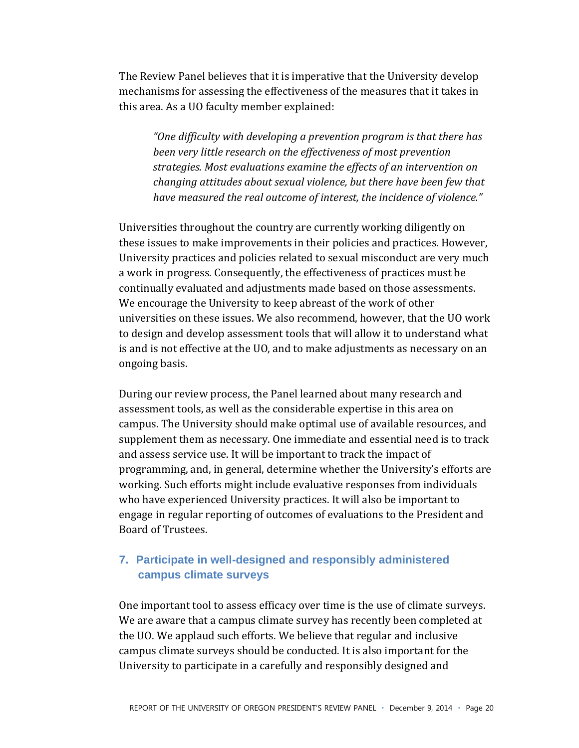The Review Panel believes that it is imperative that the University develop mechanisms for assessing the effectiveness of the measures that it takes in this area. As a UO faculty member explained:

"One difficulty with developing a prevention program is that there has been very little research on the effectiveness of most prevention strategies. Most evaluations examine the effects of an intervention on changing attitudes about sexual violence, but there have been few that have measured the real outcome of interest, the incidence of violence."

Universities throughout the country are currently working diligently on these issues to make improvements in their policies and practices. However, University practices and policies related to sexual misconduct are very much a work in progress. Consequently, the effectiveness of practices must be continually evaluated and adjustments made based on those assessments. We encourage the University to keep abreast of the work of other universities on these issues. We also recommend, however, that the UO work to design and develop assessment tools that will allow it to understand what is and is not effective at the UO, and to make adjustments as necessary on an ongoing basis.

During our review process, the Panel learned about many research and assessment tools, as well as the considerable expertise in this area on campus. The University should make optimal use of available resources, and supplement them as necessary. One immediate and essential need is to track and assess service use. It will be important to track the impact of programming, and, in general, determine whether the University's efforts are working. Such efforts might include evaluative responses from individuals who have experienced University practices. It will also be important to engage in regular reporting of outcomes of evaluations to the President and Board of Trustees.

#### 7. Participate in well-designed and responsibly administered campus climate surveys

One important tool to assess efficacy over time is the use of climate surveys. We are aware that a campus climate survey has recently been completed at the UO. We applaud such efforts. We believe that regular and inclusive campus climate surveys should be conducted. It is also important for the University to participate in a carefully and responsibly designed and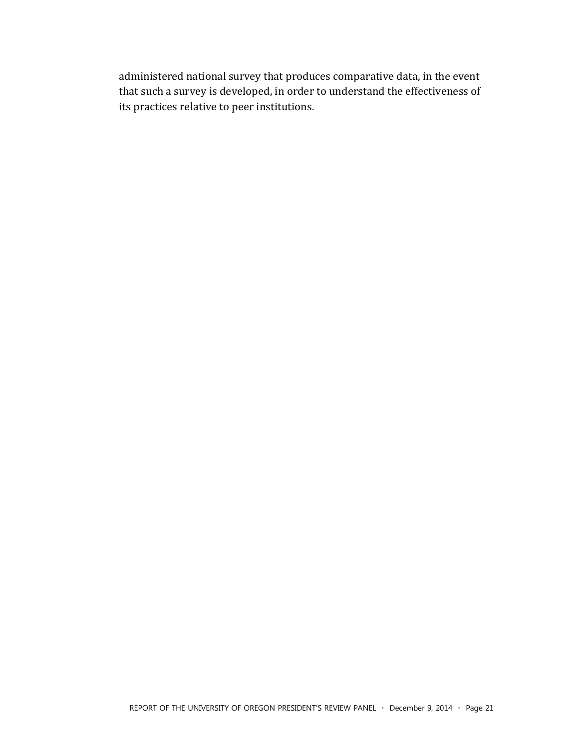administered national survey that produces comparative data, in the event that such a survey is developed, in order to understand the effectiveness of its practices relative to peer institutions.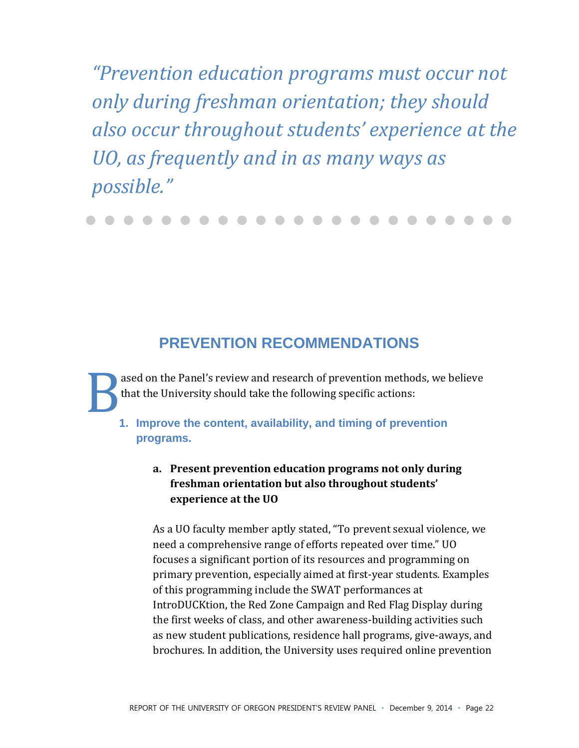"Prevention education programs must occur not only during freshman orientation; they should also occur throughout students' experience at the UO, as frequently and in as many ways as possible."

## **PREVENTION RECOMMENDATIONS**

ased on the Panel's review and research of prevention methods, we believe that the University should take the following specific actions:

1. Improve the content, availability, and timing of prevention programs.

#### a. Present prevention education programs not only during freshman orientation but also throughout students' experience at the UO

As a UO faculty member aptly stated, "To prevent sexual violence, we need a comprehensive range of efforts repeated over time." UO focuses a significant portion of its resources and programming on primary prevention, especially aimed at first-year students. Examples of this programming include the SWAT performances at IntroDUCKtion, the Red Zone Campaign and Red Flag Display during the first weeks of class, and other awareness-building activities such as new student publications, residence hall programs, give-aways, and brochures. In addition, the University uses required online prevention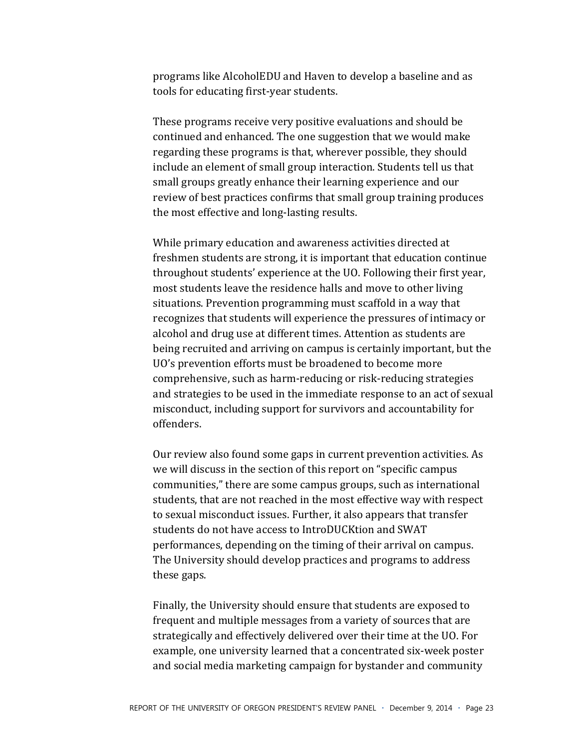programs like AlcoholEDU and Haven to develop a baseline and as tools for educating first-year students.

These programs receive very positive evaluations and should be continued and enhanced. The one suggestion that we would make regarding these programs is that, wherever possible, they should include an element of small group interaction. Students tell us that small groups greatly enhance their learning experience and our review of best practices confirms that small group training produces the most effective and long-lasting results.

While primary education and awareness activities directed at freshmen students are strong, it is important that education continue throughout students' experience at the UO. Following their first year, most students leave the residence halls and move to other living situations. Prevention programming must scaffold in a way that recognizes that students will experience the pressures of intimacy or alcohol and drug use at different times. Attention as students are being recruited and arriving on campus is certainly important, but the UO's prevention efforts must be broadened to become more comprehensive, such as harm-reducing or risk-reducing strategies and strategies to be used in the immediate response to an act of sexual misconduct, including support for survivors and accountability for offenders.

Our review also found some gaps in current prevention activities. As we will discuss in the section of this report on "specific campus" communities," there are some campus groups, such as international students, that are not reached in the most effective way with respect to sexual misconduct issues. Further, it also appears that transfer students do not have access to IntroDUCKtion and SWAT performances, depending on the timing of their arrival on campus. The University should develop practices and programs to address these gaps.

Finally, the University should ensure that students are exposed to frequent and multiple messages from a variety of sources that are strategically and effectively delivered over their time at the UO. For example, one university learned that a concentrated six-week poster and social media marketing campaign for bystander and community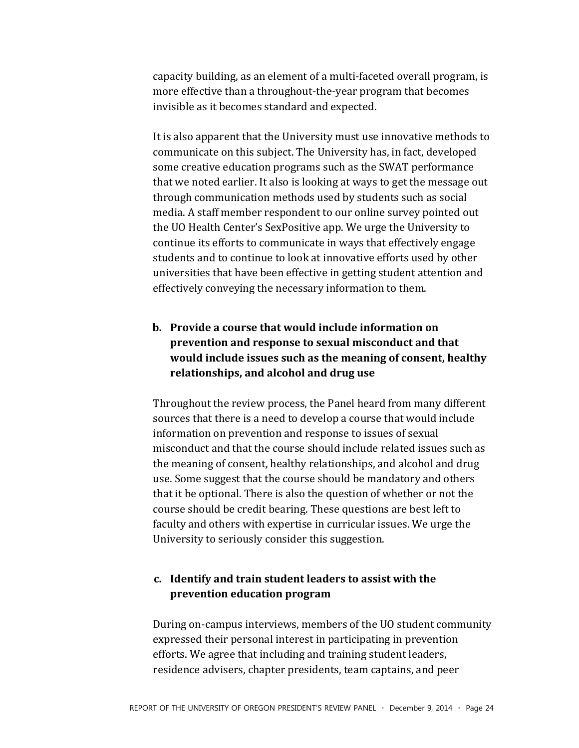capacity building, as an element of a multi-faceted overall program, is more effective than a throughout-the-year program that becomes invisible as it becomes standard and expected.

It is also apparent that the University must use innovative methods to communicate on this subject. The University has, in fact, developed some creative education programs such as the SWAT performance that we noted earlier. It also is looking at ways to get the message out through communication methods used by students such as social media. A staff member respondent to our online survey pointed out the UO Health Center's SexPositive app. We urge the University to continue its efforts to communicate in ways that effectively engage students and to continue to look at innovative efforts used by other universities that have been effective in getting student attention and effectively conveying the necessary information to them.

#### b. Provide a course that would include information on prevention and response to sexual misconduct and that would include issues such as the meaning of consent, healthy relationships, and alcohol and drug use

Throughout the review process, the Panel heard from many different sources that there is a need to develop a course that would include information on prevention and response to issues of sexual misconduct and that the course should include related issues such as the meaning of consent, healthy relationships, and alcohol and drug use. Some suggest that the course should be mandatory and others that it be optional. There is also the question of whether or not the course should be credit bearing. These questions are best left to faculty and others with expertise in curricular issues. We urge the University to seriously consider this suggestion.

#### c. Identify and train student leaders to assist with the prevention education program

During on-campus interviews, members of the UO student community expressed their personal interest in participating in prevention efforts. We agree that including and training student leaders, residence advisers, chapter presidents, team captains, and peer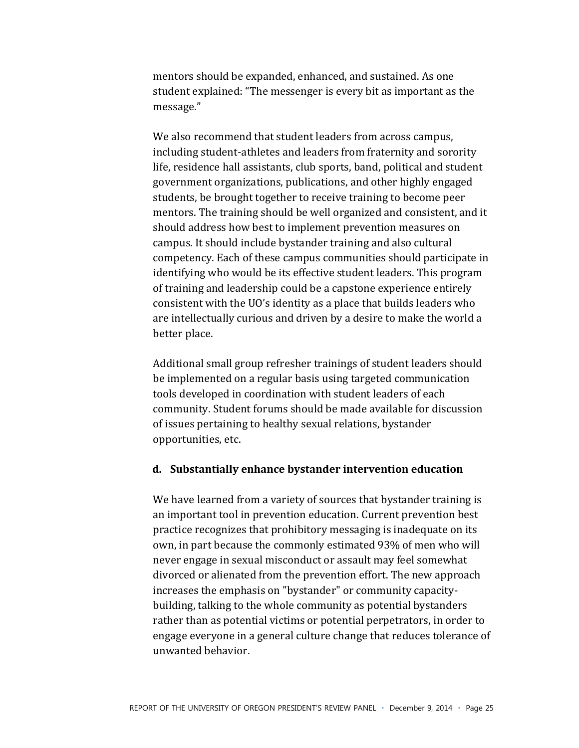mentors should be expanded, enhanced, and sustained. As one student explained: "The messenger is every bit as important as the message."

We also recommend that student leaders from across campus, including student-athletes and leaders from fraternity and sorority life, residence hall assistants, club sports, band, political and student government organizations, publications, and other highly engaged students, be brought together to receive training to become peer mentors. The training should be well organized and consistent, and it should address how best to implement prevention measures on campus. It should include bystander training and also cultural competency. Each of these campus communities should participate in identifying who would be its effective student leaders. This program of training and leadership could be a capstone experience entirely consistent with the UO's identity as a place that builds leaders who are intellectually curious and driven by a desire to make the world a better place.

Additional small group refresher trainings of student leaders should be implemented on a regular basis using targeted communication tools developed in coordination with student leaders of each community. Student forums should be made available for discussion of issues pertaining to healthy sexual relations, bystander opportunities, etc.

#### **d. Substantially)enhance)bystander)intervention)education)**

We have learned from a variety of sources that bystander training is an important tool in prevention education. Current prevention best practice recognizes that prohibitory messaging is inadequate on its own, in part because the commonly estimated 93% of men who will never engage in sexual misconduct or assault may feel somewhat divorced or alienated from the prevention effort. The new approach increases the emphasis on "bystander" or community capacitybuilding, talking to the whole community as potential bystanders rather than as potential victims or potential perpetrators, in order to engage everyone in a general culture change that reduces tolerance of unwanted behavior.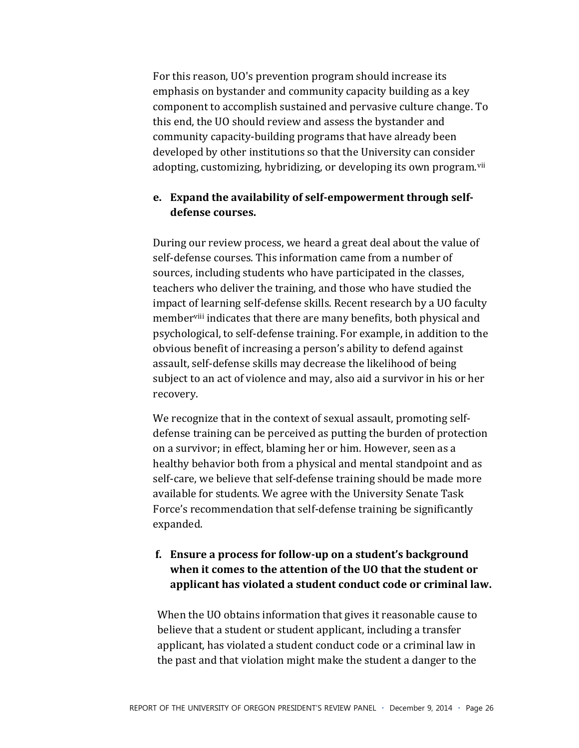For this reason, UO's prevention program should increase its emphasis on bystander and community capacity building as a key component to accomplish sustained and pervasive culture change. To this end, the UO should review and assess the bystander and community capacity-building programs that have already been developed by other institutions so that the University can consider adopting, customizing, hybridizing, or developing its own program.<sup>vii</sup>

#### e. Expand the availability of self-empowerment through selfdefense courses.

During our review process, we heard a great deal about the value of self-defense courses. This information came from a number of sources, including students who have participated in the classes. teachers who deliver the training, and those who have studied the impact of learning self-defense skills. Recent research by a UO faculty member<sup>viii</sup> indicates that there are many benefits, both physical and psychological, to self-defense training. For example, in addition to the obvious benefit of increasing a person's ability to defend against assault, self-defense skills may decrease the likelihood of being subject to an act of violence and may, also aid a survivor in his or her recovery.

We recognize that in the context of sexual assault, promoting selfdefense training can be perceived as putting the burden of protection on a survivor; in effect, blaming her or him. However, seen as a healthy behavior both from a physical and mental standpoint and as self-care, we believe that self-defense training should be made more available for students. We agree with the University Senate Task Force's recommendation that self-defense training be significantly expanded.

#### f. Ensure a process for follow-up on a student's background when it comes to the attention of the UO that the student or applicant has violated a student conduct code or criminal law.

When the UO obtains information that gives it reasonable cause to believe that a student or student applicant, including a transfer applicant, has violated a student conduct code or a criminal law in the past and that violation might make the student a danger to the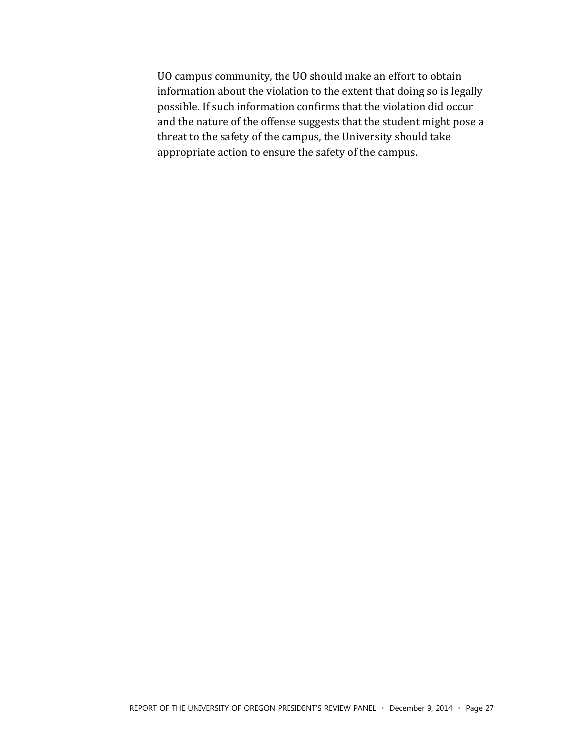UO campus community, the UO should make an effort to obtain information about the violation to the extent that doing so is legally possible. If such information confirms that the violation did occur and the nature of the offense suggests that the student might pose a threat to the safety of the campus, the University should take appropriate action to ensure the safety of the campus.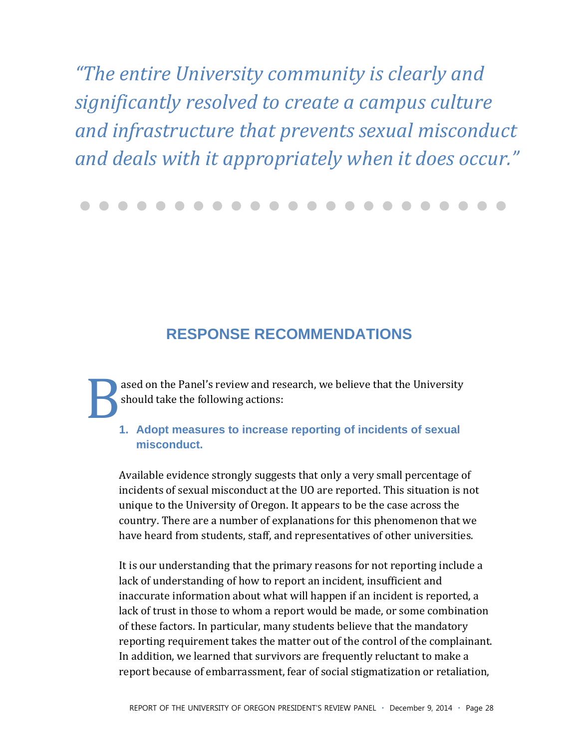"The entire University community is clearly and significantly resolved to create a campus culture and infrastructure that prevents sexual misconduct and deals with it appropriately when it does occur."

## **RESPONSE RECOMMENDATIONS**

ased on the Panel's review and research, we believe that the University should take the following actions:

#### 1. Adopt measures to increase reporting of incidents of sexual misconduct

Available evidence strongly suggests that only a very small percentage of incidents of sexual misconduct at the UO are reported. This situation is not unique to the University of Oregon. It appears to be the case across the country. There are a number of explanations for this phenomenon that we have heard from students, staff, and representatives of other universities.

It is our understanding that the primary reasons for not reporting include a lack of understanding of how to report an incident, insufficient and inaccurate information about what will happen if an incident is reported, a lack of trust in those to whom a report would be made, or some combination of these factors. In particular, many students believe that the mandatory reporting requirement takes the matter out of the control of the complainant. In addition, we learned that survivors are frequently reluctant to make a report because of embarrassment, fear of social stigmatization or retaliation,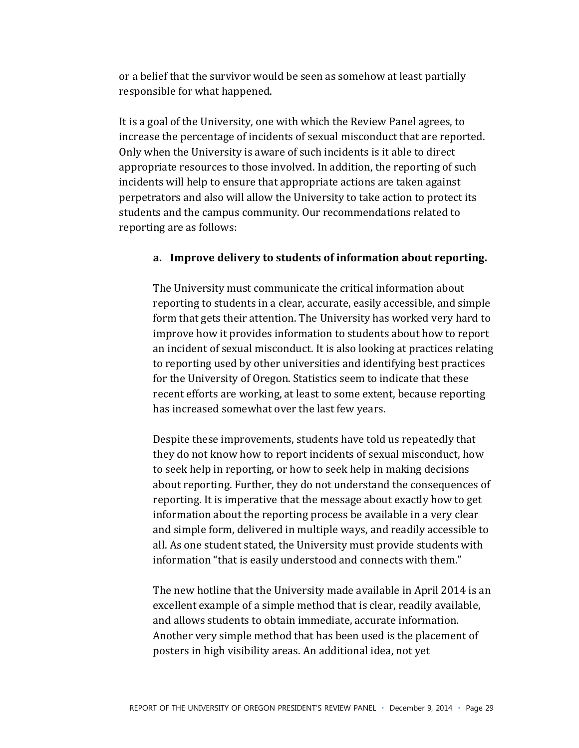or a belief that the survivor would be seen as somehow at least partially responsible for what happened.

It is a goal of the University, one with which the Review Panel agrees, to increase the percentage of incidents of sexual misconduct that are reported. Only when the University is aware of such incidents is it able to direct appropriate resources to those involved. In addition, the reporting of such incidents will help to ensure that appropriate actions are taken against perpetrators and also will allow the University to take action to protect its students and the campus community. Our recommendations related to reporting are as follows:

#### a. Improve delivery to students of information about reporting.

The University must communicate the critical information about reporting to students in a clear, accurate, easily accessible, and simple form that gets their attention. The University has worked very hard to improve how it provides information to students about how to report an incident of sexual misconduct. It is also looking at practices relating to reporting used by other universities and identifying best practices for the University of Oregon. Statistics seem to indicate that these recent efforts are working, at least to some extent, because reporting has increased somewhat over the last few years.

Despite these improvements, students have told us repeatedly that they do not know how to report incidents of sexual misconduct, how to seek help in reporting, or how to seek help in making decisions about reporting. Further, they do not understand the consequences of reporting. It is imperative that the message about exactly how to get information about the reporting process be available in a very clear and simple form, delivered in multiple ways, and readily accessible to all. As one student stated, the University must provide students with information "that is easily understood and connects with them."

The new hotline that the University made available in April 2014 is an excellent example of a simple method that is clear, readily available, and allows students to obtain immediate, accurate information. Another very simple method that has been used is the placement of posters in high visibility areas. An additional idea, not yet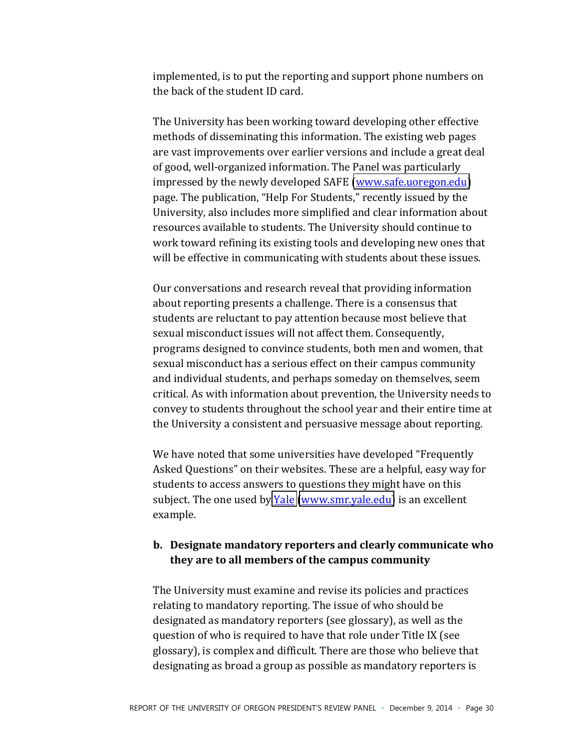implemented, is to put the reporting and support phone numbers on the back of the student ID card.

The University has been working toward developing other effective methods of disseminating this information. The existing web pages are vast improvements over earlier versions and include a great deal of good, well-organized information. The Panel was particularly impressed by the newly developed SAFE (www.safe.uoregon.edu) page. The publication, "Help For Students," recently issued by the University, also includes more simplified and clear information about resources available to students. The University should continue to work toward refining its existing tools and developing new ones that will be effective in communicating with students about these issues.

Our conversations and research reveal that providing information about reporting presents a challenge. There is a consensus that students are reluctant to pay attention because most believe that sexual misconduct issues will not affect them. Consequently, programs designed to convince students, both men and women, that sexual misconduct has a serious effect on their campus community and individual students, and perhaps someday on themselves, seem critical. As with information about prevention, the University needs to convey to students throughout the school year and their entire time at the University a consistent and persuasive message about reporting.

We have noted that some universities have developed "Frequently" Asked Questions" on their websites. These are a helpful, easy way for students to access answers to questions they might have on this subject. The one used by Yale (www.smr.yale.edu) is an excellent example.

#### b. Designate mandatory reporters and clearly communicate who they are to all members of the campus community

The University must examine and revise its policies and practices relating to mandatory reporting. The issue of who should be designated as mandatory reporters (see glossary), as well as the question of who is required to have that role under Title IX (see glossary), is complex and difficult. There are those who believe that designating as broad a group as possible as mandatory reporters is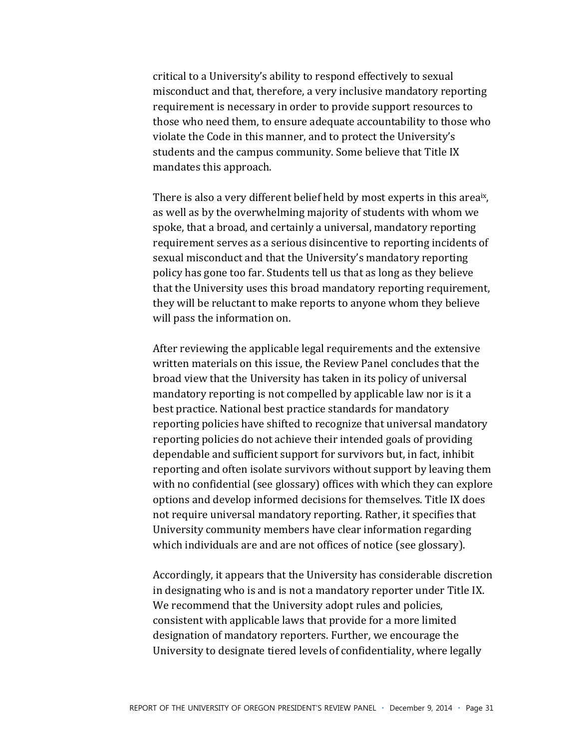critical to a University's ability to respond effectively to sexual misconduct and that, therefore, a very inclusive mandatory reporting requirement is necessary in order to provide support resources to those who need them, to ensure adequate accountability to those who violate the Code in this manner, and to protect the University's students and the campus community. Some believe that Title IX mandates this approach.

There is also a very different belief held by most experts in this areaix, as well as by the overwhelming majority of students with whom we spoke, that a broad, and certainly a universal, mandatory reporting requirement serves as a serious disincentive to reporting incidents of sexual misconduct and that the University's mandatory reporting policy has gone too far. Students tell us that as long as they believe that the University uses this broad mandatory reporting requirement, they will be reluctant to make reports to anyone whom they believe will pass the information on.

After reviewing the applicable legal requirements and the extensive written materials on this issue, the Review Panel concludes that the broad view that the University has taken in its policy of universal mandatory reporting is not compelled by applicable law nor is it a best practice. National best practice standards for mandatory reporting policies have shifted to recognize that universal mandatory reporting policies do not achieve their intended goals of providing dependable and sufficient support for survivors but, in fact, inhibit reporting and often isolate survivors without support by leaving them with no confidential (see glossary) offices with which they can explore options and develop informed decisions for themselves. Title IX does not require universal mandatory reporting. Rather, it specifies that University community members have clear information regarding which individuals are and are not offices of notice (see glossary).

Accordingly, it appears that the University has considerable discretion in designating who is and is not a mandatory reporter under Title IX. We recommend that the University adopt rules and policies, consistent with applicable laws that provide for a more limited designation of mandatory reporters. Further, we encourage the University to designate tiered levels of confidentiality, where legally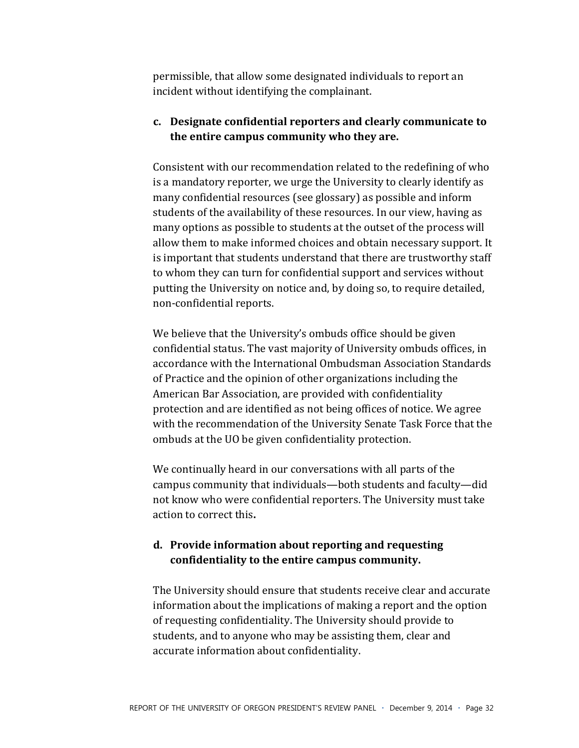permissible, that allow some designated individuals to report an incident without identifying the complainant.

#### c. Designate confidential reporters and clearly communicate to the entire campus community who they are.

Consistent with our recommendation related to the redefining of who is a mandatory reporter, we urge the University to clearly identify as many confidential resources (see glossary) as possible and inform students of the availability of these resources. In our view, having as many options as possible to students at the outset of the process will allow them to make informed choices and obtain necessary support. It is important that students understand that there are trustworthy staff to whom they can turn for confidential support and services without putting the University on notice and, by doing so, to require detailed, non-confidential reports.

We believe that the University's ombuds office should be given confidential status. The vast majority of University ombuds offices, in accordance with the International Ombudsman Association Standards of Practice and the opinion of other organizations including the American Bar Association, are provided with confidentiality protection and are identified as not being offices of notice. We agree with the recommendation of the University Senate Task Force that the ombuds at the UO be given confidentiality protection.

We continually heard in our conversations with all parts of the campus community that individuals—both students and faculty—did not know who were confidential reporters. The University must take action to correct this.

#### d. Provide information about reporting and requesting confidentiality to the entire campus community.

The University should ensure that students receive clear and accurate information about the implications of making a report and the option of requesting confidentiality. The University should provide to students, and to anyone who may be assisting them, clear and accurate information about confidentiality.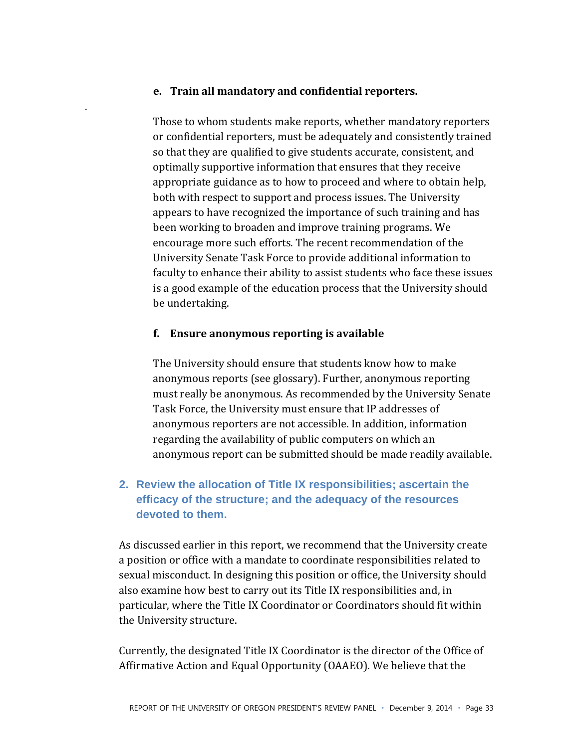#### **e. Train)all)mandatory)and)confidential)reporters.)**

.\$

Those to whom students make reports, whether mandatory reporters or confidential reporters, must be adequately and consistently trained so that they are qualified to give students accurate, consistent, and optimally supportive information that ensures that they receive appropriate guidance as to how to proceed and where to obtain help, both with respect to support and process issues. The University appears to have recognized the importance of such training and has been working to broaden and improve training programs. We encourage more such efforts. The recent recommendation of the University Senate Task Force to provide additional information to faculty to enhance their ability to assist students who face these issues is a good example of the education process that the University should be undertaking.

#### **f. Ensure)anonymous)reporting)is)available)**

The University should ensure that students know how to make anonymous reports (see glossary). Further, anonymous reporting must really be anonymous. As recommended by the University Senate Task Force, the University must ensure that IP addresses of anonymous reporters are not accessible. In addition, information regarding the availability of public computers on which an anonymous report can be submitted should be made readily available.

### **2. Review the allocation of Title IX responsibilities; ascertain the efficacy of the structure; and the adequacy of the resources devoted to them.**

As discussed earlier in this report, we recommend that the University create a position or office with a mandate to coordinate responsibilities related to sexual misconduct. In designing this position or office, the University should also examine how best to carry out its Title IX responsibilities and, in particular, where the Title IX Coordinator or Coordinators should fit within the University structure.

Currently, the designated Title IX Coordinator is the director of the Office of Affirmative Action and Equal Opportunity (OAAEO). We believe that the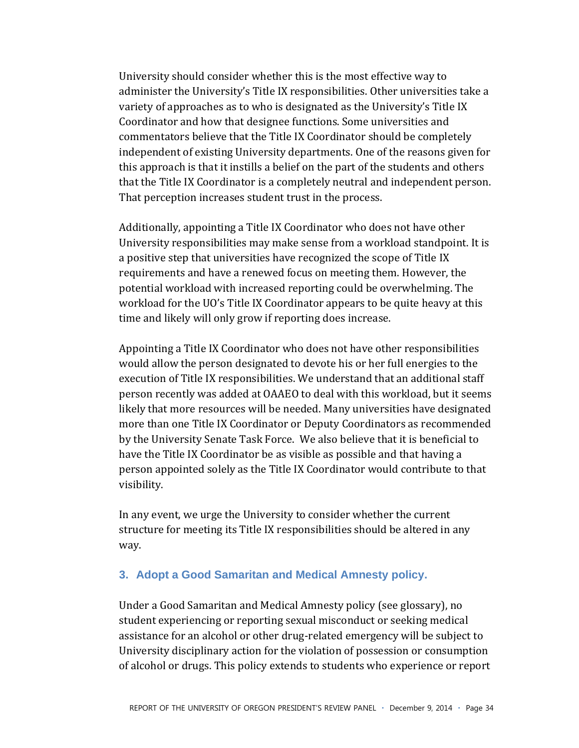University should consider whether this is the most effective way to administer the University's Title IX responsibilities. Other universities take a variety of approaches as to who is designated as the University's Title IX Coordinator and how that designee functions. Some universities and commentators believe that the Title IX Coordinator should be completely independent of existing University departments. One of the reasons given for this approach is that it instills a belief on the part of the students and others that the Title IX Coordinator is a completely neutral and independent person. That perception increases student trust in the process.

Additionally, appointing a Title IX Coordinator who does not have other University responsibilities may make sense from a workload standpoint. It is a positive step that universities have recognized the scope of Title IX requirements and have a renewed focus on meeting them. However, the potential workload with increased reporting could be overwhelming. The workload for the UO's Title IX Coordinator appears to be quite heavy at this time and likely will only grow if reporting does increase.

Appointing a Title IX Coordinator who does not have other responsibilities would allow the person designated to devote his or her full energies to the execution of Title IX responsibilities. We understand that an additional staff person recently was added at OAAEO to deal with this workload, but it seems likely that more resources will be needed. Many universities have designated more than one Title IX Coordinator or Deputy Coordinators as recommended by the University Senate Task Force. We also believe that it is beneficial to have the Title IX Coordinator be as visible as possible and that having a person appointed solely as the Title IX Coordinator would contribute to that visibility.

In any event, we urge the University to consider whether the current structure for meeting its Title IX responsibilities should be altered in any way.

#### 3. Adopt a Good Samaritan and Medical Amnesty policy.

Under a Good Samaritan and Medical Amnesty policy (see glossary), no student experiencing or reporting sexual misconduct or seeking medical assistance for an alcohol or other drug-related emergency will be subject to University disciplinary action for the violation of possession or consumption of alcohol or drugs. This policy extends to students who experience or report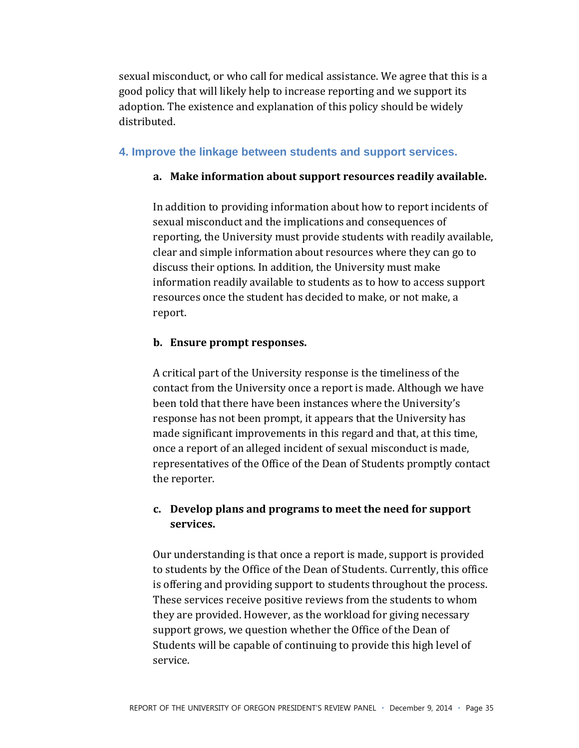sexual misconduct, or who call for medical assistance. We agree that this is a good policy that will likely help to increase reporting and we support its adoption. The existence and explanation of this policy should be widely distributed.

#### **4. Improve the linkage between students and support services.**

#### a. Make information about support resources readily available.

In addition to providing information about how to report incidents of sexual misconduct and the implications and consequences of reporting, the University must provide students with readily available, clear and simple information about resources where they can go to discuss their options. In addition, the University must make information readily available to students as to how to access support resources once the student has decided to make, or not make, a report.

#### **b.** Ensure prompt responses.

A critical part of the University response is the timeliness of the contact from the University once a report is made. Although we have been told that there have been instances where the University's response has not been prompt, it appears that the University has made significant improvements in this regard and that, at this time, once a report of an alleged incident of sexual misconduct is made, representatives of the Office of the Dean of Students promptly contact the reporter.

#### **c. Develop)plans)and)programs)to)meet)the)need)for)support)** services.

Our understanding is that once a report is made, support is provided to students by the Office of the Dean of Students. Currently, this office is offering and providing support to students throughout the process. These services receive positive reviews from the students to whom they are provided. However, as the workload for giving necessary support grows, we question whether the Office of the Dean of Students will be capable of continuing to provide this high level of service.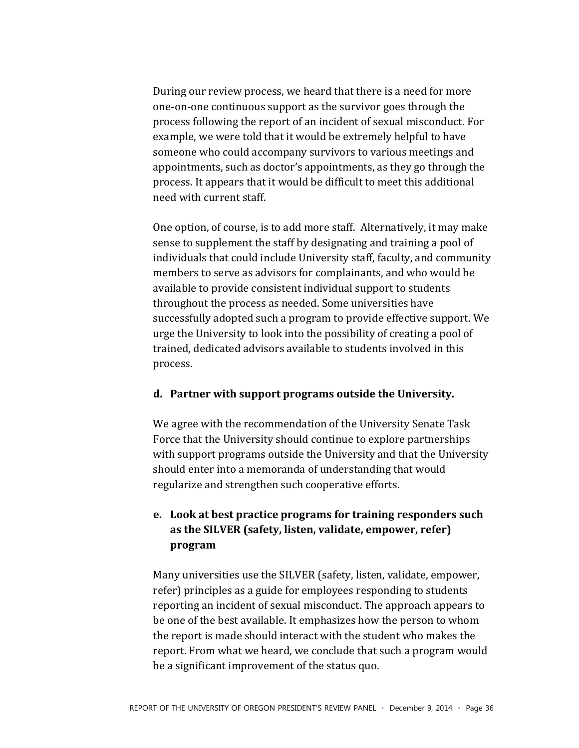During our review process, we heard that there is a need for more one-on-one continuous support as the survivor goes through the process following the report of an incident of sexual misconduct. For example, we were told that it would be extremely helpful to have someone who could accompany survivors to various meetings and appointments, such as doctor's appointments, as they go through the process. It appears that it would be difficult to meet this additional need with current staff.

One option, of course, is to add more staff. Alternatively, it may make sense to supplement the staff by designating and training a pool of individuals that could include University staff, faculty, and community members to serve as advisors for complainants, and who would be available to provide consistent individual support to students throughout the process as needed. Some universities have successfully adopted such a program to provide effective support. We urge the University to look into the possibility of creating a pool of trained, dedicated advisors available to students involved in this process.

#### d. Partner with support programs outside the University.

We agree with the recommendation of the University Senate Task Force that the University should continue to explore partnerships with support programs outside the University and that the University should enter into a memoranda of understanding that would regularize and strengthen such cooperative efforts.

#### e. Look at best practice programs for training responders such as the SILVER (safety, listen, validate, empower, refer) program

Many universities use the SILVER (safety, listen, validate, empower, refer) principles as a guide for employees responding to students reporting an incident of sexual misconduct. The approach appears to be one of the best available. It emphasizes how the person to whom the report is made should interact with the student who makes the report. From what we heard, we conclude that such a program would be a significant improvement of the status quo.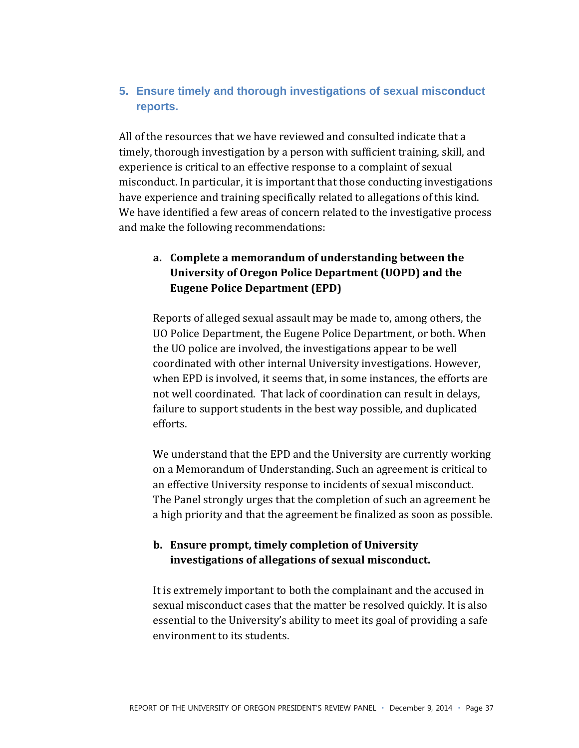#### **5. Ensure timely and thorough investigations of sexual misconduct reports.**

All of the resources that we have reviewed and consulted indicate that a timely, thorough investigation by a person with sufficient training, skill, and experience is critical to an effective response to a complaint of sexual misconduct. In particular, it is important that those conducting investigations have experience and training specifically related to allegations of this kind. We have identified a few areas of concern related to the investigative process and make the following recommendations:

#### a. Complete a memorandum of understanding between the **University of Oregon Police Department (UOPD) and the Eugene Police Department (EPD)**

Reports of alleged sexual assault may be made to, among others, the UO Police Department, the Eugene Police Department, or both. When the UO police are involved, the investigations appear to be well coordinated with other internal University investigations. However, when EPD is involved, it seems that, in some instances, the efforts are not well coordinated. That lack of coordination can result in delays, failure to support students in the best way possible, and duplicated efforts.

We understand that the EPD and the University are currently working on a Memorandum of Understanding. Such an agreement is critical to an effective University response to incidents of sexual misconduct. The Panel strongly urges that the completion of such an agreement be a high priority and that the agreement be finalized as soon as possible.

#### **b.** Ensure prompt, timely completion of University investigations of allegations of sexual misconduct.

It is extremely important to both the complainant and the accused in sexual misconduct cases that the matter be resolved quickly. It is also essential to the University's ability to meet its goal of providing a safe environment to its students.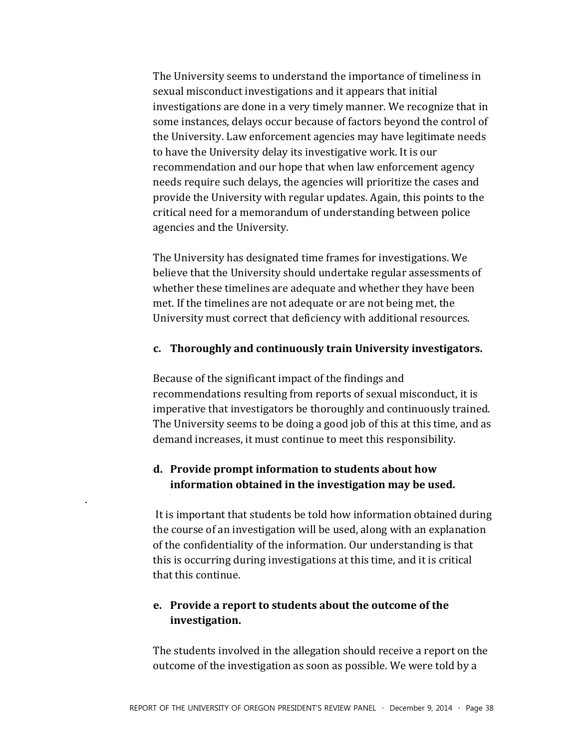The University seems to understand the importance of timeliness in sexual misconduct investigations and it appears that initial investigations are done in a very timely manner. We recognize that in some instances, delays occur because of factors beyond the control of the University. Law enforcement agencies may have legitimate needs to have the University delay its investigative work. It is our recommendation and our hope that when law enforcement agency needs require such delays, the agencies will prioritize the cases and provide the University with regular updates. Again, this points to the critical need for a memorandum of understanding between police agencies and the University.

The University has designated time frames for investigations. We believe that the University should undertake regular assessments of whether these timelines are adequate and whether they have been met. If the timelines are not adequate or are not being met, the University must correct that deficiency with additional resources.

#### c. Thoroughly and continuously train University investigators.

Because of the significant impact of the findings and recommendations resulting from reports of sexual misconduct, it is imperative that investigators be thoroughly and continuously trained. The University seems to be doing a good job of this at this time, and as demand increases, it must continue to meet this responsibility.

#### d. Provide prompt information to students about how information obtained in the investigation may be used.

It is important that students be told how information obtained during the course of an investigation will be used, along with an explanation of the confidentiality of the information. Our understanding is that this is occurring during investigations at this time, and it is critical that this continue.

#### e. Provide a report to students about the outcome of the investigation.

The students involved in the allegation should receive a report on the outcome of the investigation as soon as possible. We were told by a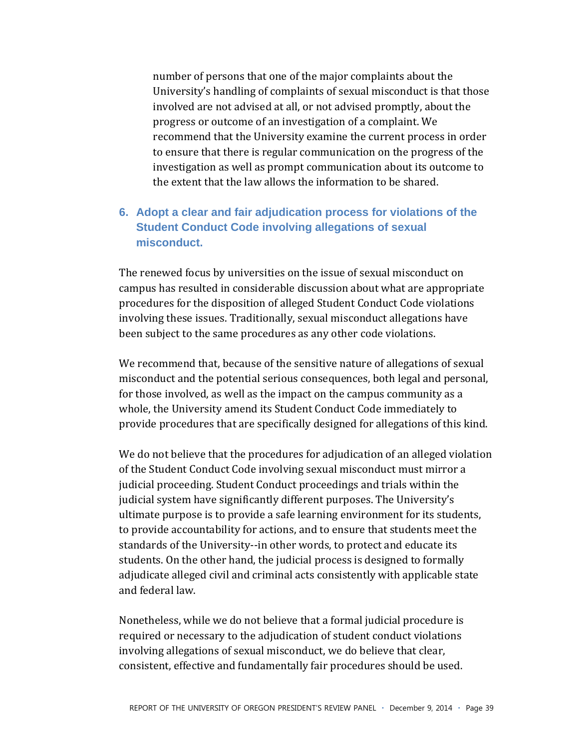number of persons that one of the major complaints about the University's handling of complaints of sexual misconduct is that those involved are not advised at all, or not advised promptly, about the progress or outcome of an investigation of a complaint. We recommend that the University examine the current process in order to ensure that there is regular communication on the progress of the investigation as well as prompt communication about its outcome to the extent that the law allows the information to be shared.

#### **6. Adopt a clear and fair adjudication process for violations of the Student Conduct Code involving allegations of sexual misconduct.**

The renewed focus by universities on the issue of sexual misconduct on campus has resulted in considerable discussion about what are appropriate procedures for the disposition of alleged Student Conduct Code violations involving these issues. Traditionally, sexual misconduct allegations have been subject to the same procedures as any other code violations.

We recommend that, because of the sensitive nature of allegations of sexual misconduct and the potential serious consequences, both legal and personal, for those involved, as well as the impact on the campus community as a whole, the University amend its Student Conduct Code immediately to provide procedures that are specifically designed for allegations of this kind.

We do not believe that the procedures for adjudication of an alleged violation of the Student Conduct Code involving sexual misconduct must mirror a judicial proceeding. Student Conduct proceedings and trials within the judicial system have significantly different purposes. The University's ultimate purpose is to provide a safe learning environment for its students, to provide accountability for actions, and to ensure that students meet the standards of the University--in other words, to protect and educate its students. On the other hand, the judicial process is designed to formally adjudicate alleged civil and criminal acts consistently with applicable state and federal law.

Nonetheless, while we do not believe that a formal judicial procedure is required or necessary to the adjudication of student conduct violations involving allegations of sexual misconduct, we do believe that clear, consistent, effective and fundamentally fair procedures should be used.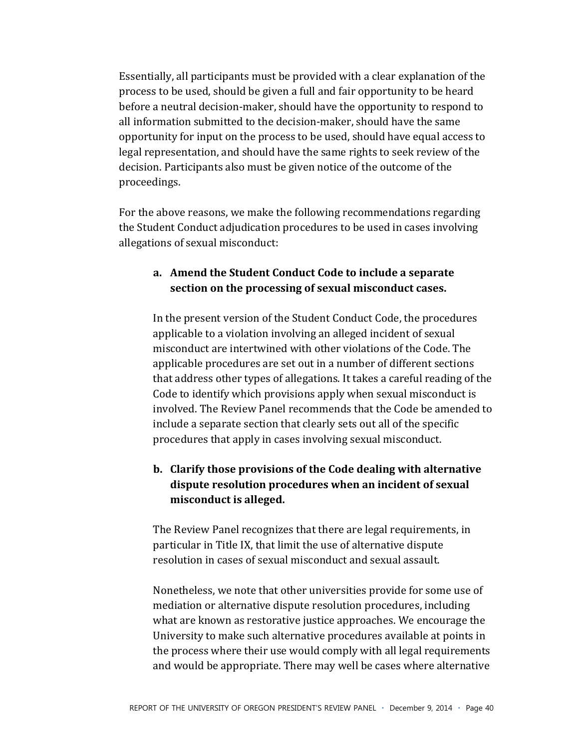Essentially, all participants must be provided with a clear explanation of the process to be used, should be given a full and fair opportunity to be heard before a neutral decision-maker, should have the opportunity to respond to all information submitted to the decision-maker, should have the same opportunity for input on the process to be used, should have equal access to legal representation, and should have the same rights to seek review of the decision. Participants also must be given notice of the outcome of the proceedings.

For the above reasons, we make the following recommendations regarding the Student Conduct adjudication procedures to be used in cases involving allegations of sexual misconduct:

#### a. Amend the Student Conduct Code to include a separate section on the processing of sexual misconduct cases.

In the present version of the Student Conduct Code, the procedures applicable to a violation involving an alleged incident of sexual misconduct are intertwined with other violations of the Code. The applicable procedures are set out in a number of different sections that address other types of allegations. It takes a careful reading of the Code to identify which provisions apply when sexual misconduct is involved. The Review Panel recommends that the Code be amended to include a separate section that clearly sets out all of the specific procedures that apply in cases involving sexual misconduct.

#### b. Clarify those provisions of the Code dealing with alternative dispute resolution procedures when an incident of sexual misconduct is alleged.

The Review Panel recognizes that there are legal requirements, in particular in Title IX, that limit the use of alternative dispute resolution in cases of sexual misconduct and sexual assault.

Nonetheless, we note that other universities provide for some use of mediation or alternative dispute resolution procedures, including what are known as restorative justice approaches. We encourage the University to make such alternative procedures available at points in the process where their use would comply with all legal requirements and would be appropriate. There may well be cases where alternative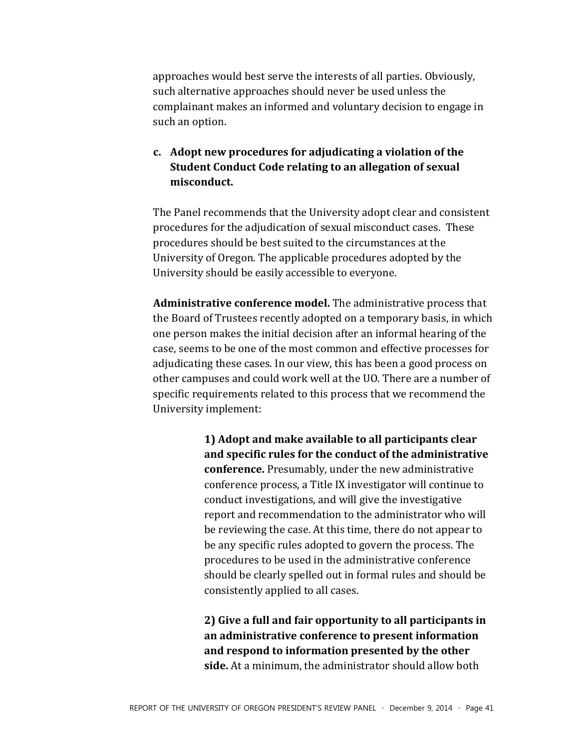approaches would best serve the interests of all parties. Obviously, such alternative approaches should never be used unless the complainant makes an informed and voluntary decision to engage in such an option.

#### c. Adopt new procedures for adjudicating a violation of the **Student Conduct Code relating to an allegation of sexual** misconduct.

The Panel recommends that the University adopt clear and consistent procedures for the adjudication of sexual misconduct cases. These procedures should be best suited to the circumstances at the University of Oregon. The applicable procedures adopted by the University should be easily accessible to everyone.

Administrative conference model. The administrative process that the Board of Trustees recently adopted on a temporary basis, in which one person makes the initial decision after an informal hearing of the case, seems to be one of the most common and effective processes for adjudicating these cases. In our view, this has been a good process on other campuses and could work well at the UO. There are a number of specific requirements related to this process that we recommend the University implement:

> 1) Adopt and make available to all participants clear and specific rules for the conduct of the administrative conference. Presumably, under the new administrative conference process, a Title IX investigator will continue to conduct investigations, and will give the investigative report and recommendation to the administrator who will be reviewing the case. At this time, there do not appear to be any specific rules adopted to govern the process. The procedures to be used in the administrative conference should be clearly spelled out in formal rules and should be consistently applied to all cases.

> 2) Give a full and fair opportunity to all participants in an administrative conference to present information and respond to information presented by the other side. At a minimum, the administrator should allow both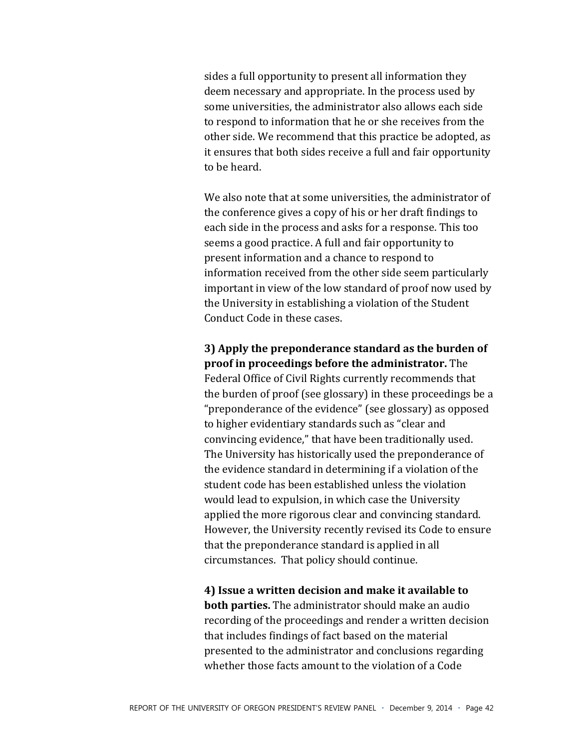sides a full opportunity to present all information they deem necessary and appropriate. In the process used by some universities, the administrator also allows each side to respond to information that he or she receives from the other side. We recommend that this practice be adopted, as it ensures that both sides receive a full and fair opportunity to be heard.

We also note that at some universities, the administrator of the conference gives a copy of his or her draft findings to each side in the process and asks for a response. This too seems a good practice. A full and fair opportunity to present information and a chance to respond to information received from the other side seem particularly important in view of the low standard of proof now used by the University in establishing a violation of the Student Conduct Code in these cases.

#### 3) Apply the preponderance standard as the burden of proof in proceedings before the administrator. The

Federal Office of Civil Rights currently recommends that the burden of proof (see glossary) in these proceedings be a "preponderance of the evidence" (see glossary) as opposed to higher evidentiary standards such as "clear and convincing evidence," that have been traditionally used. The University has historically used the preponderance of the evidence standard in determining if a violation of the student code has been established unless the violation would lead to expulsion, in which case the University applied the more rigorous clear and convincing standard. However, the University recently revised its Code to ensure that the preponderance standard is applied in all circumstances. That policy should continue.

4) Issue a written decision and make it available to **both parties.** The administrator should make an audio recording of the proceedings and render a written decision that includes findings of fact based on the material presented to the administrator and conclusions regarding whether those facts amount to the violation of a Code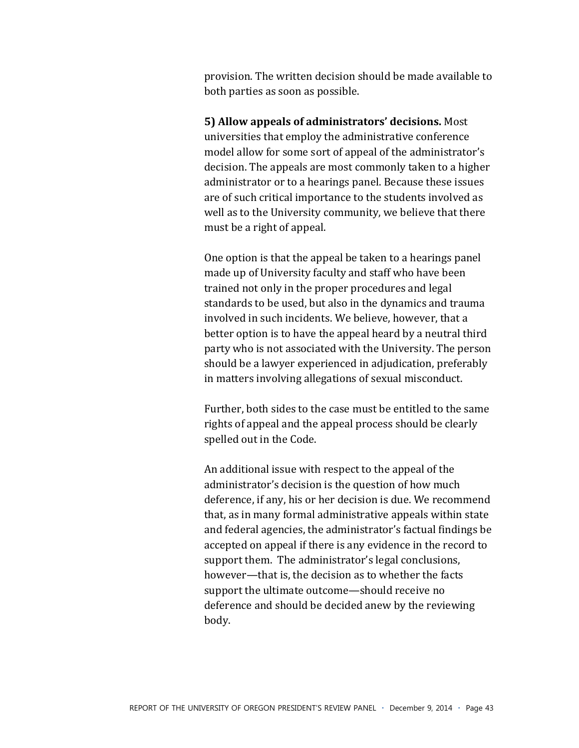provision. The written decision should be made available to both parties as soon as possible.

5) Allow appeals of administrators' decisions. Most universities that employ the administrative conference model allow for some sort of appeal of the administrator's decision. The appeals are most commonly taken to a higher administrator or to a hearings panel. Because these issues are of such critical importance to the students involved as well as to the University community, we believe that there must be a right of appeal.

One option is that the appeal be taken to a hearings panel made up of University faculty and staff who have been trained not only in the proper procedures and legal standards to be used, but also in the dynamics and trauma involved in such incidents. We believe, however, that a better option is to have the appeal heard by a neutral third party who is not associated with the University. The person should be a lawyer experienced in adjudication, preferably in matters involving allegations of sexual misconduct.

Further, both sides to the case must be entitled to the same rights of appeal and the appeal process should be clearly spelled out in the Code.

An additional issue with respect to the appeal of the administrator's decision is the question of how much deference, if any, his or her decision is due. We recommend that, as in many formal administrative appeals within state and federal agencies, the administrator's factual findings be accepted on appeal if there is any evidence in the record to support them. The administrator's legal conclusions, however—that is, the decision as to whether the facts support the ultimate outcome—should receive no deference and should be decided anew by the reviewing body.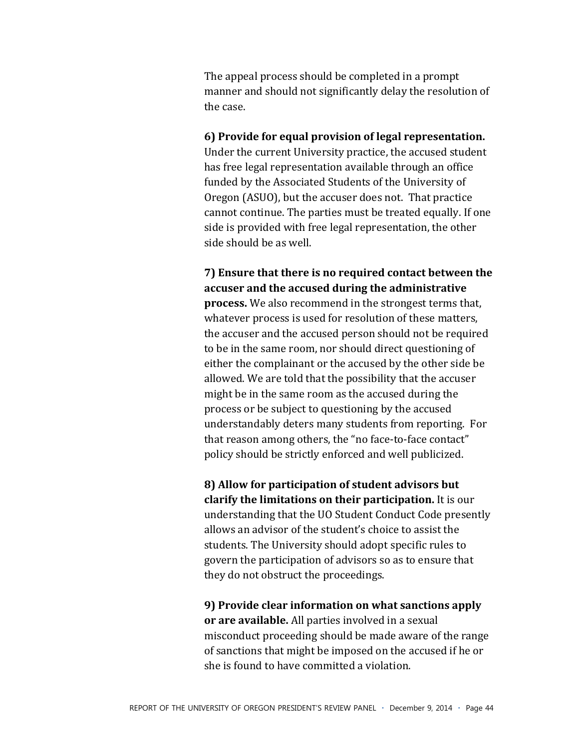The appeal process should be completed in a prompt manner and should not significantly delay the resolution of the case.

6) Provide for equal provision of legal representation. Under the current University practice, the accused student has free legal representation available through an office funded by the Associated Students of the University of Oregon (ASUO), but the accuser does not. That practice cannot continue. The parties must be treated equally. If one side is provided with free legal representation, the other side should be as well.

7) Ensure that there is no required contact between the accuser and the accused during the administrative **process.** We also recommend in the strongest terms that, whatever process is used for resolution of these matters, the accuser and the accused person should not be required to be in the same room, nor should direct questioning of either the complainant or the accused by the other side be allowed. We are told that the possibility that the accuser might be in the same room as the accused during the process or be subject to questioning by the accused understandably deters many students from reporting. For that reason among others, the "no face-to-face contact" policy should be strictly enforced and well publicized.

8) Allow for participation of student advisors but clarify the limitations on their participation. It is our understanding that the UO Student Conduct Code presently allows an advisor of the student's choice to assist the students. The University should adopt specific rules to govern the participation of advisors so as to ensure that they do not obstruct the proceedings.

9) Provide clear information on what sanctions apply or are available. All parties involved in a sexual misconduct proceeding should be made aware of the range of sanctions that might be imposed on the accused if he or she is found to have committed a violation.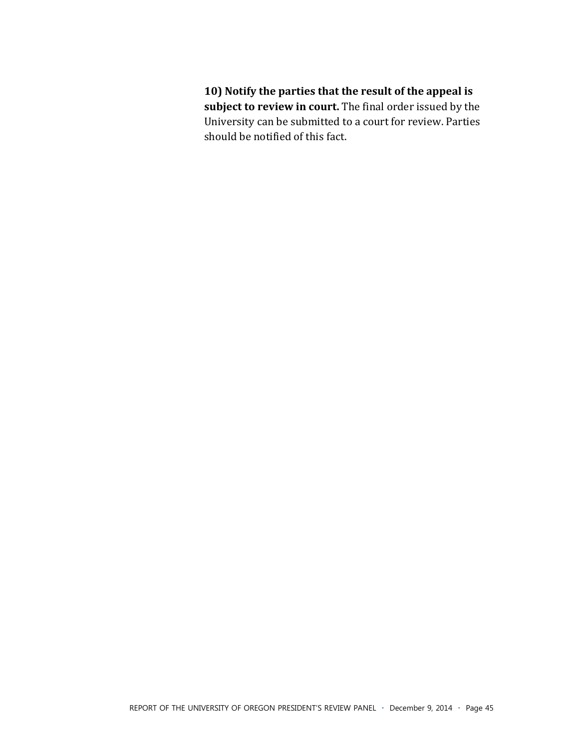10) Notify the parties that the result of the appeal is subject to review in court. The final order issued by the University can be submitted to a court for review. Parties should be notified of this fact.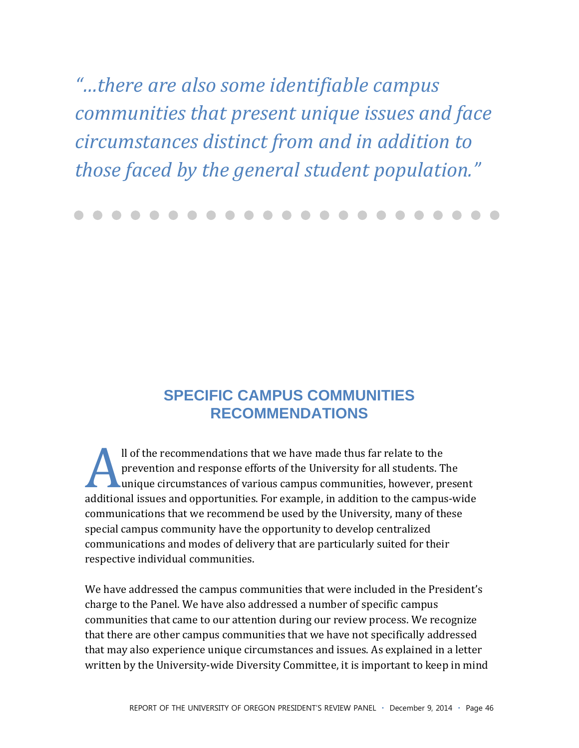"...there are also some identifiable campus communities that present unique issues and face circumstances distinct from and in addition to those faced by the general student population."

## **SPECIFIC CAMPUS COMMUNITIES RECOMMENDATIONS**

Il of the recommendations that we have made thus far relate to the prevention and response efforts of the University for all students. The unique circumstances of various campus communities, however, present additional issues and opportunities. For example, in addition to the campus-wide communications that we recommend be used by the University, many of these special campus community have the opportunity to develop centralized communications and modes of delivery that are particularly suited for their respective individual communities.

We have addressed the campus communities that were included in the President's charge to the Panel. We have also addressed a number of specific campus communities that came to our attention during our review process. We recognize that there are other campus communities that we have not specifically addressed that may also experience unique circumstances and issues. As explained in a letter written by the University-wide Diversity Committee, it is important to keep in mind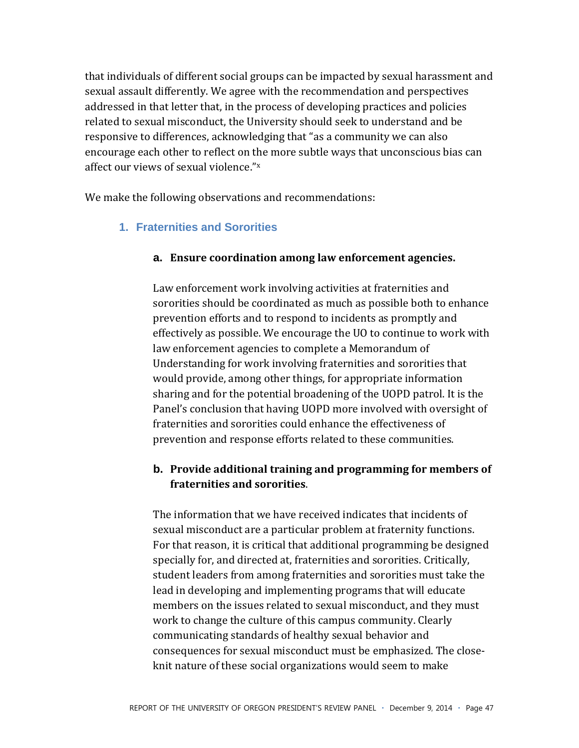that individuals of different social groups can be impacted by sexual harassment and sexual assault differently. We agree with the recommendation and perspectives addressed in that letter that, in the process of developing practices and policies related to sexual misconduct, the University should seek to understand and be responsive to differences, acknowledging that "as a community we can also encourage each other to reflect on the more subtle ways that unconscious bias can affect our views of sexual violence."x

We make the following observations and recommendations:

#### 1. Fraternities and Sororities

#### a. Ensure coordination among law enforcement agencies.

Law enforcement work involving activities at fraternities and sororities should be coordinated as much as possible both to enhance prevention efforts and to respond to incidents as promptly and effectively as possible. We encourage the UO to continue to work with law enforcement agencies to complete a Memorandum of Understanding for work involving fraternities and sororities that would provide, among other things, for appropriate information sharing and for the potential broadening of the UOPD patrol. It is the Panel's conclusion that having UOPD more involved with oversight of fraternities and sororities could enhance the effectiveness of prevention and response efforts related to these communities.

#### b. Provide additional training and programming for members of fraternities and sororities.

The information that we have received indicates that incidents of sexual misconduct are a particular problem at fraternity functions. For that reason, it is critical that additional programming be designed specially for, and directed at, fraternities and sororities. Critically, student leaders from among fraternities and sororities must take the lead in developing and implementing programs that will educate members on the issues related to sexual misconduct, and they must work to change the culture of this campus community. Clearly communicating standards of healthy sexual behavior and consequences for sexual misconduct must be emphasized. The closeknit nature of these social organizations would seem to make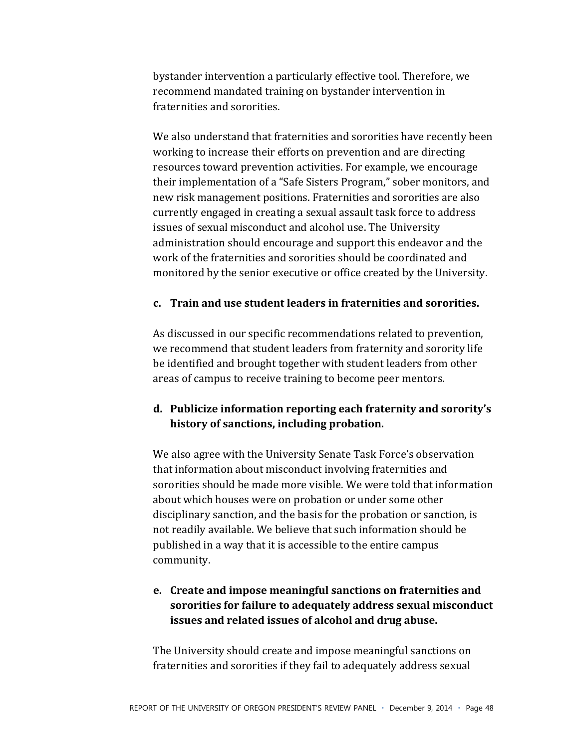bystander intervention a particularly effective tool. Therefore, we recommend mandated training on bystander intervention in fraternities and sororities.

We also understand that fraternities and sororities have recently been working to increase their efforts on prevention and are directing resources toward prevention activities. For example, we encourage their implementation of a "Safe Sisters Program," sober monitors, and new risk management positions. Fraternities and sororities are also currently engaged in creating a sexual assault task force to address issues of sexual misconduct and alcohol use. The University administration should encourage and support this endeavor and the work of the fraternities and sororities should be coordinated and monitored by the senior executive or office created by the University.

#### **c. Train)and)use)student)leaders)in)fraternities)and)sororities.**

As discussed in our specific recommendations related to prevention, we recommend that student leaders from fraternity and sorority life be identified and brought together with student leaders from other areas of campus to receive training to become peer mentors.

#### **d. Publicize)information)reporting)each)fraternity)and)sororityǯ** history of sanctions, including probation.

We also agree with the University Senate Task Force's observation that information about misconduct involving fraternities and sororities should be made more visible. We were told that information about which houses were on probation or under some other disciplinary sanction, and the basis for the probation or sanction, is not readily available. We believe that such information should be published in a way that it is accessible to the entire campus community.

#### **e. Create)and)impose)meaningful)sanctions)on)fraternities)and)** sororities for failure to adequately address sexual misconduct issues and related issues of alcohol and drug abuse.

The University should create and impose meaningful sanctions on fraternities and sororities if they fail to adequately address sexual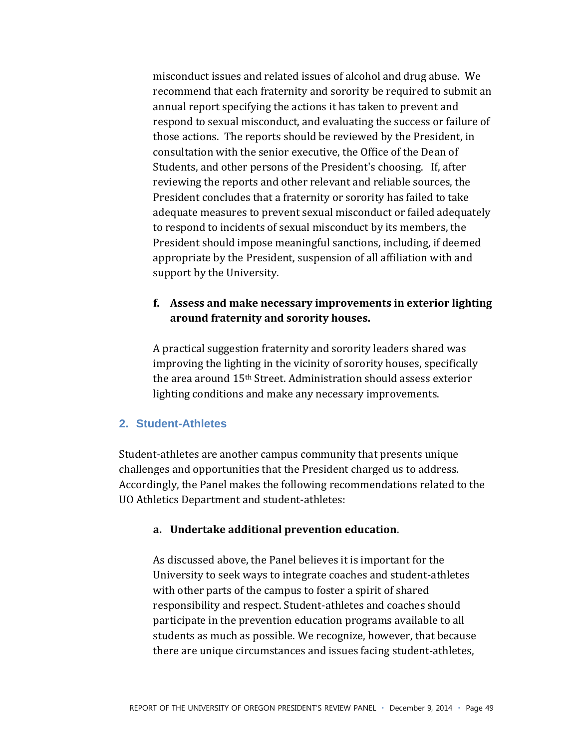misconduct issues and related issues of alcohol and drug abuse. We recommend that each fraternity and sorority be required to submit an annual report specifying the actions it has taken to prevent and respond to sexual misconduct, and evaluating the success or failure of those actions. The reports should be reviewed by the President, in consultation with the senior executive, the Office of the Dean of Students, and other persons of the President's choosing. If, after reviewing the reports and other relevant and reliable sources, the President concludes that a fraternity or sorority has failed to take adequate measures to prevent sexual misconduct or failed adequately to respond to incidents of sexual misconduct by its members, the President should impose meaningful sanctions, including, if deemed appropriate by the President, suspension of all affiliation with and support by the University.

#### f. Assess and make necessary improvements in exterior lighting around fraternity and sorority houses.

A practical suggestion fraternity and sorority leaders shared was improving the lighting in the vicinity of sorority houses, specifically the area around 15<sup>th</sup> Street. Administration should assess exterior lighting conditions and make any necessary improvements.

#### 2. Student-Athletes

Student-athletes are another campus community that presents unique challenges and opportunities that the President charged us to address. Accordingly, the Panel makes the following recommendations related to the UO Athletics Department and student-athletes:

#### a. Undertake additional prevention education.

As discussed above, the Panel believes it is important for the University to seek ways to integrate coaches and student-athletes with other parts of the campus to foster a spirit of shared responsibility and respect. Student-athletes and coaches should participate in the prevention education programs available to all students as much as possible. We recognize, however, that because there are unique circumstances and issues facing student-athletes,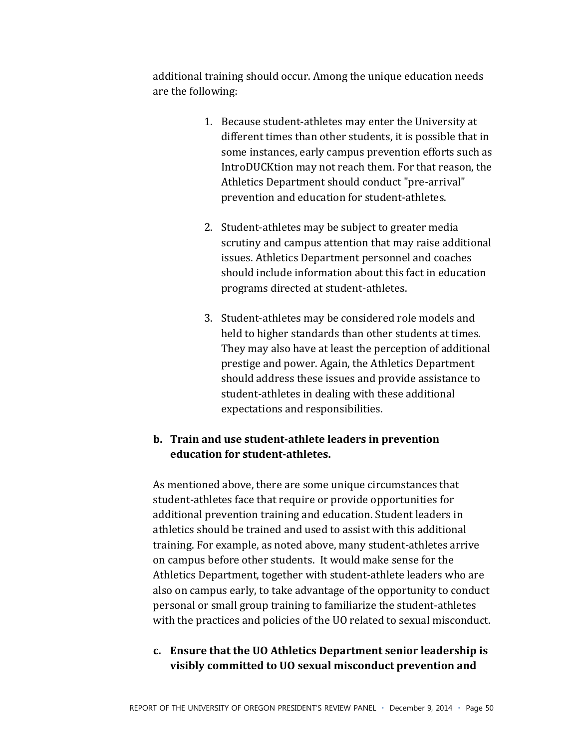additional training should occur. Among the unique education needs are the following:

- 1. Because student-athletes may enter the University at different times than other students, it is possible that in some instances, early campus prevention efforts such as IntroDUCKtion may not reach them. For that reason, the Athletics Department should conduct "pre-arrival" prevention and education for student-athletes.
- 2. Student-athletes may be subject to greater media scrutiny and campus attention that may raise additional issues. Athletics Department personnel and coaches should include information about this fact in education programs directed at student-athletes.
- 3. Student-athletes may be considered role models and held to higher standards than other students at times. They may also have at least the perception of additional prestige and power. Again, the Athletics Department should address these issues and provide assistance to student-athletes in dealing with these additional expectations and responsibilities.

#### b. Train and use student-athlete leaders in prevention education for student-athletes.

As mentioned above, there are some unique circumstances that student-athletes face that require or provide opportunities for additional prevention training and education. Student leaders in athletics should be trained and used to assist with this additional training. For example, as noted above, many student-athletes arrive on campus before other students. It would make sense for the Athletics Department, together with student-athlete leaders who are also on campus early, to take advantage of the opportunity to conduct personal or small group training to familiarize the student-athletes with the practices and policies of the UO related to sexual misconduct.

#### c. Ensure that the UO Athletics Department senior leadership is visibly committed to UO sexual misconduct prevention and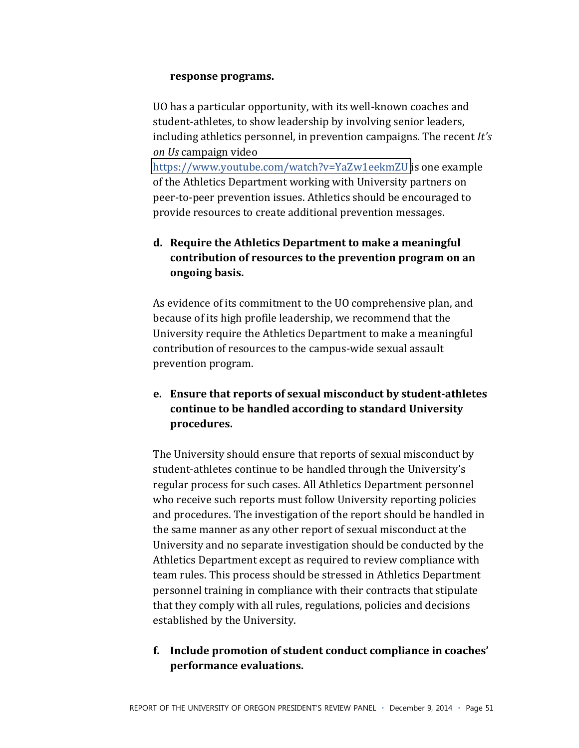#### response programs.

UO has a particular opportunity, with its well-known coaches and student-athletes, to show leadership by involving senior leaders, including athletics personnel, in prevention campaigns. The recent *It's on Us* campaign video

https://www.youtube.com/watch?v=YaZw1eekmZU is one example of the Athletics Department working with University partners on peer-to-peer prevention issues. Athletics should be encouraged to provide resources to create additional prevention messages.

#### **d.** Require the Athletics Department to make a meaningful contribution of resources to the prevention program on an **ongoing)basis.)**

As evidence of its commitment to the UO comprehensive plan, and because of its high profile leadership, we recommend that the University require the Athletics Department to make a meaningful contribution of resources to the campus-wide sexual assault prevention program.

### **e.** Ensure that reports of sexual misconduct by student-athletes continue to be handled according to standard University **procedures.**

The University should ensure that reports of sexual misconduct by student-athletes continue to be handled through the University's regular process for such cases. All Athletics Department personnel who receive such reports must follow University reporting policies and procedures. The investigation of the report should be handled in the same manner as any other report of sexual misconduct at the University and no separate investigation should be conducted by the Athletics Department except as required to review compliance with team rules. This process should be stressed in Athletics Department personnel training in compliance with their contracts that stipulate that they comply with all rules, regulations, policies and decisions established by the University.

#### f. Include promotion of student conduct compliance in coaches' **performance)evaluations.)**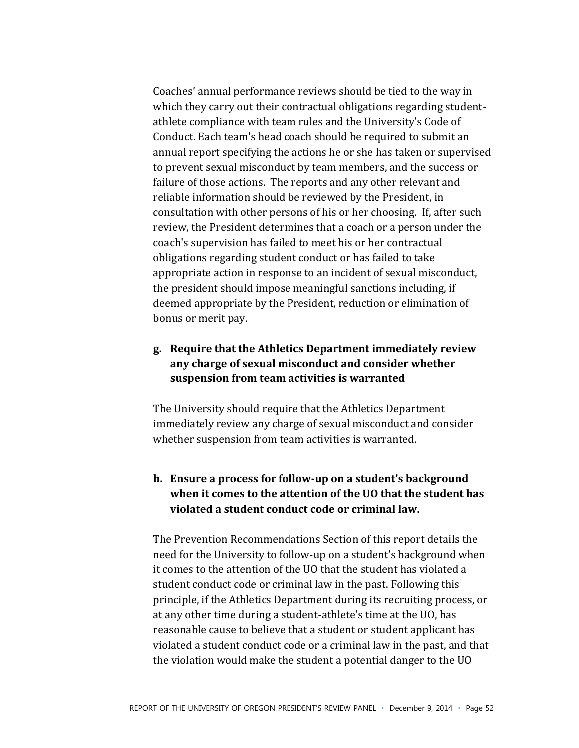Coaches' annual performance reviews should be tied to the way in which they carry out their contractual obligations regarding studentathlete compliance with team rules and the University's Code of Conduct. Each team's head coach should be required to submit an annual report specifying the actions he or she has taken or supervised to prevent sexual misconduct by team members, and the success or failure of those actions. The reports and any other relevant and reliable information should be reviewed by the President, in consultation with other persons of his or her choosing. If, after such review, the President determines that a coach or a person under the coach's supervision has failed to meet his or her contractual obligations regarding student conduct or has failed to take appropriate action in response to an incident of sexual misconduct, the president should impose meaningful sanctions including, if deemed appropriate by the President, reduction or elimination of bonus or merit pay.

#### g. Require that the Athletics Department immediately review any charge of sexual misconduct and consider whether suspension from team activities is warranted

The University should require that the Athletics Department immediately review any charge of sexual misconduct and consider whether suspension from team activities is warranted.

#### h. Ensure a process for follow-up on a student's background when it comes to the attention of the UO that the student has violated a student conduct code or criminal law.

The Prevention Recommendations Section of this report details the need for the University to follow-up on a student's background when it comes to the attention of the UO that the student has violated a student conduct code or criminal law in the past. Following this principle, if the Athletics Department during its recruiting process, or at any other time during a student-athlete's time at the UO, has reasonable cause to believe that a student or student applicant has violated a student conduct code or a criminal law in the past, and that the violation would make the student a potential danger to the UO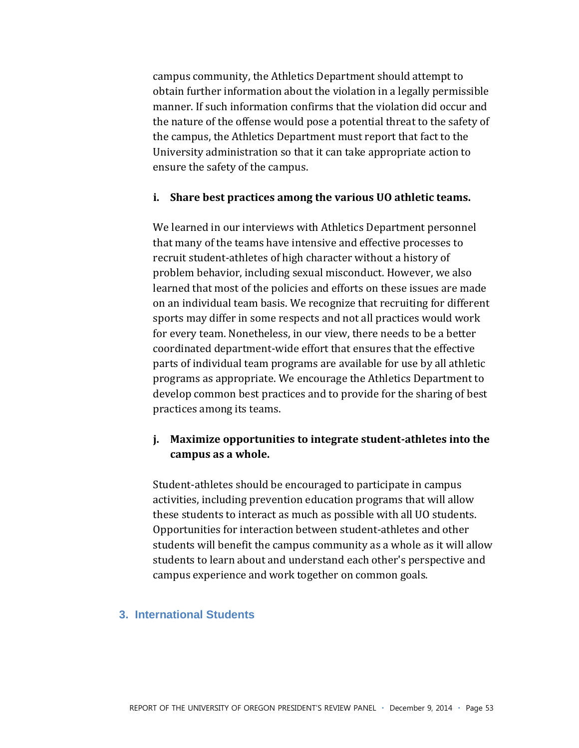campus community, the Athletics Department should attempt to obtain further information about the violation in a legally permissible manner. If such information confirms that the violation did occur and the nature of the offense would pose a potential threat to the safety of the campus, the Athletics Department must report that fact to the University administration so that it can take appropriate action to ensure the safety of the campus.

#### i. Share best practices among the various UO athletic teams.

We learned in our interviews with Athletics Department personnel that many of the teams have intensive and effective processes to recruit student-athletes of high character without a history of problem behavior, including sexual misconduct. However, we also learned that most of the policies and efforts on these issues are made on an individual team basis. We recognize that recruiting for different sports may differ in some respects and not all practices would work for every team. Nonetheless, in our view, there needs to be a better coordinated department-wide effort that ensures that the effective parts of individual team programs are available for use by all athletic programs as appropriate. We encourage the Athletics Department to develop common best practices and to provide for the sharing of best practices among its teams.

#### j. Maximize opportunities to integrate student-athletes into the campus as a whole.

Student-athletes should be encouraged to participate in campus activities, including prevention education programs that will allow these students to interact as much as possible with all UO students. Opportunities for interaction between student-athletes and other students will benefit the campus community as a whole as it will allow students to learn about and understand each other's perspective and campus experience and work together on common goals.

#### 3. International Students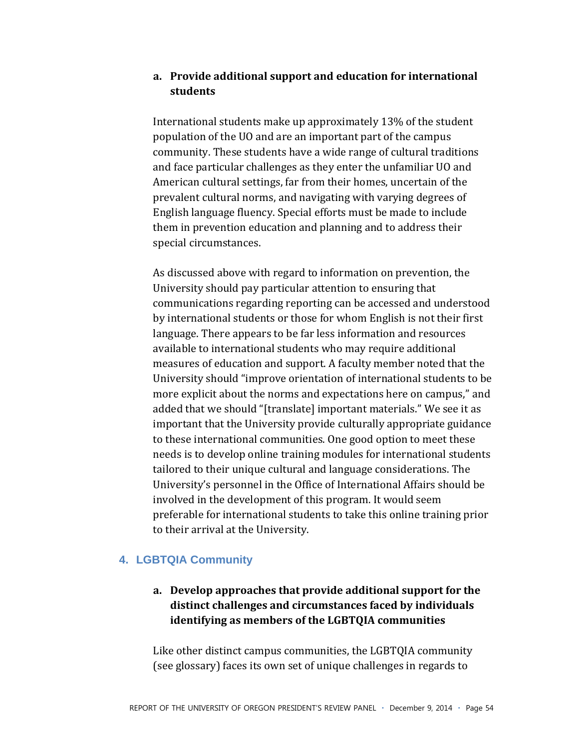#### **a. Provide)additional)support)and)education)for)international) students)**

International students make up approximately  $13\%$  of the student population of the UO and are an important part of the campus community. These students have a wide range of cultural traditions and face particular challenges as they enter the unfamiliar UO and American cultural settings, far from their homes, uncertain of the prevalent cultural norms, and navigating with varying degrees of English language fluency. Special efforts must be made to include them in prevention education and planning and to address their special circumstances.

As discussed above with regard to information on prevention, the University should pay particular attention to ensuring that communications regarding reporting can be accessed and understood by international students or those for whom English is not their first language. There appears to be far less information and resources available to international students who may require additional measures of education and support. A faculty member noted that the University should "improve orientation of international students to be more explicit about the norms and expectations here on campus," and added that we should "[translate] important materials." We see it as important that the University provide culturally appropriate guidance to these international communities. One good option to meet these needs is to develop online training modules for international students tailored to their unique cultural and language considerations. The University's personnel in the Office of International Affairs should be involved in the development of this program. It would seem preferable for international students to take this online training prior to their arrival at the University.

#### **4. LGBTQIA Community**

#### a. Develop approaches that provide additional support for the distinct challenges and circumstances faced by individuals identifying as members of the LGBTQIA communities

Like other distinct campus communities, the LGBTQIA community (see glossary) faces its own set of unique challenges in regards to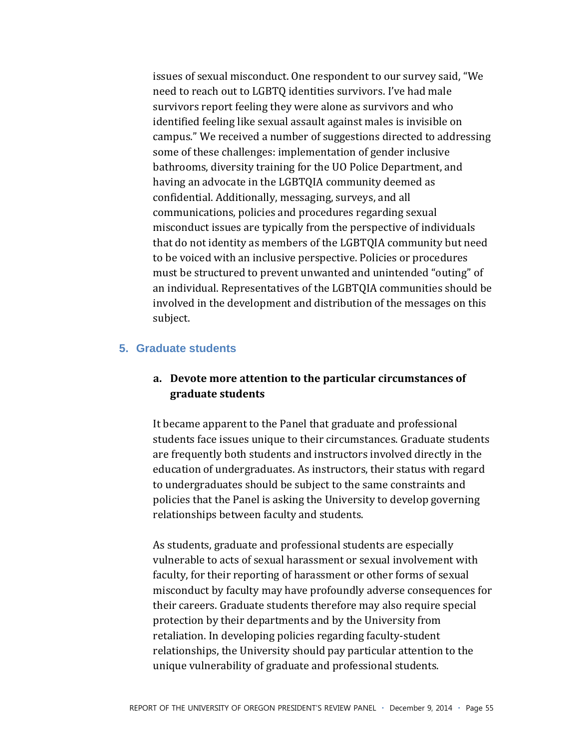issues of sexual misconduct. One respondent to our survey said, "We need to reach out to LGBTQ identities survivors. I've had male survivors report feeling they were alone as survivors and who identified feeling like sexual assault against males is invisible on campus." We received a number of suggestions directed to addressing some of these challenges: implementation of gender inclusive bathrooms, diversity training for the UO Police Department, and having an advocate in the LGBTOIA community deemed as confidential. Additionally, messaging, surveys, and all communications, policies and procedures regarding sexual misconduct issues are typically from the perspective of individuals that do not identity as members of the LGBTQIA community but need to be voiced with an inclusive perspective. Policies or procedures must be structured to prevent unwanted and unintended "outing" of an individual. Representatives of the LGBTQIA communities should be involved in the development and distribution of the messages on this subject.

#### **5. Graduate students**

#### a. Devote more attention to the particular circumstances of **graduate)students)**

It became apparent to the Panel that graduate and professional students face issues unique to their circumstances. Graduate students are frequently both students and instructors involved directly in the education of undergraduates. As instructors, their status with regard to undergraduates should be subject to the same constraints and policies that the Panel is asking the University to develop governing relationships between faculty and students.

As students, graduate and professional students are especially vulnerable to acts of sexual harassment or sexual involvement with faculty, for their reporting of harassment or other forms of sexual misconduct by faculty may have profoundly adverse consequences for their careers. Graduate students therefore may also require special protection by their departments and by the University from retaliation. In developing policies regarding faculty-student relationships, the University should pay particular attention to the unique vulnerability of graduate and professional students.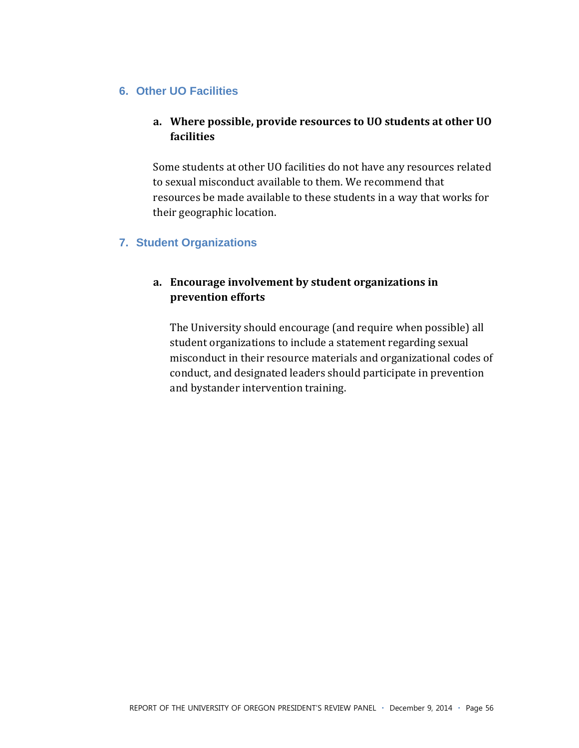#### **6. Other UO Facilities**

#### a. Where possible, provide resources to UO students at other UO **facilities)**

Some students at other UO facilities do not have any resources related to sexual misconduct available to them. We recommend that resources be made available to these students in a way that works for their geographic location.

#### **7. Student Organizations**

#### a. Encourage involvement by student organizations in **prevention)efforts)**

The University should encourage (and require when possible) all student organizations to include a statement regarding sexual misconduct in their resource materials and organizational codes of conduct, and designated leaders should participate in prevention and bystander intervention training.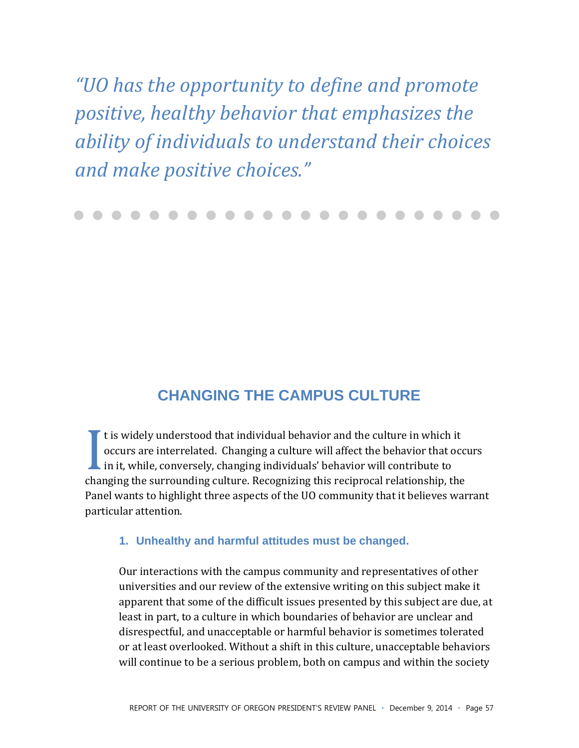"UO has the opportunity to define and promote positive, healthy behavior that emphasizes the ability of individuals to understand their choices and make positive choices."

## **CHANGING THE CAMPUS CULTURE**

 $\mathsf{r}$  t is widely understood that individual behavior and the culture in which it occurs are interrelated. Changing a culture will affect the behavior that occurs  $\blacksquare$  in it, while, conversely, changing individuals' behavior will contribute to changing the surrounding culture. Recognizing this reciprocal relationship, the Panel wants to highlight three aspects of the UO community that it believes warrant particular attention.

#### 1. Unhealthy and harmful attitudes must be changed.

Our interactions with the campus community and representatives of other universities and our review of the extensive writing on this subject make it apparent that some of the difficult issues presented by this subject are due, at least in part, to a culture in which boundaries of behavior are unclear and disrespectful, and unacceptable or harmful behavior is sometimes tolerated or at least overlooked. Without a shift in this culture, unacceptable behaviors will continue to be a serious problem, both on campus and within the society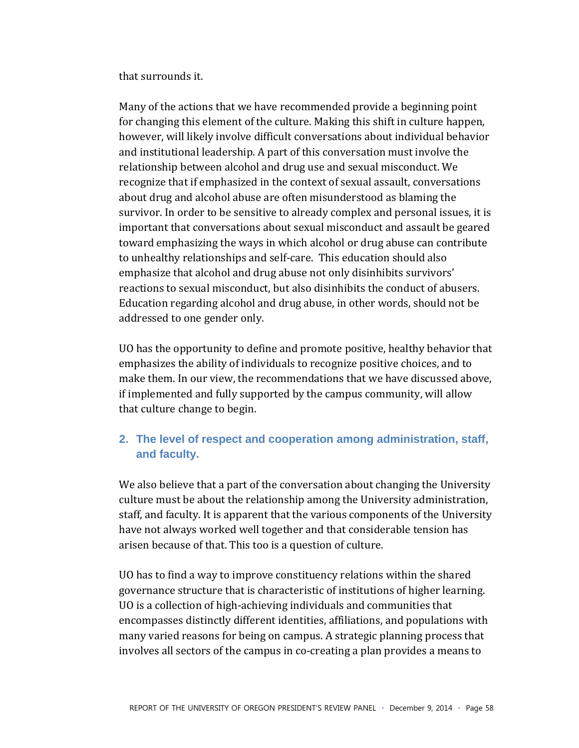that surrounds it.

Many of the actions that we have recommended provide a beginning point for changing this element of the culture. Making this shift in culture happen, however, will likely involve difficult conversations about individual behavior and institutional leadership. A part of this conversation must involve the relationship between alcohol and drug use and sexual misconduct. We recognize that if emphasized in the context of sexual assault, conversations about drug and alcohol abuse are often misunderstood as blaming the survivor. In order to be sensitive to already complex and personal issues, it is important that conversations about sexual misconduct and assault be geared toward emphasizing the ways in which alcohol or drug abuse can contribute to unhealthy relationships and self-care. This education should also emphasize that alcohol and drug abuse not only disinhibits survivors' reactions to sexual misconduct, but also disinhibits the conduct of abusers. Education regarding alcohol and drug abuse, in other words, should not be addressed to one gender only.

UO has the opportunity to define and promote positive, healthy behavior that emphasizes the ability of individuals to recognize positive choices, and to make them. In our view, the recommendations that we have discussed above, if implemented and fully supported by the campus community, will allow that culture change to begin.

#### 2. The level of respect and cooperation among administration, staff, and faculty.

We also believe that a part of the conversation about changing the University culture must be about the relationship among the University administration. staff, and faculty. It is apparent that the various components of the University have not always worked well together and that considerable tension has arisen because of that. This too is a question of culture.

UO has to find a way to improve constituency relations within the shared governance structure that is characteristic of institutions of higher learning. UO is a collection of high-achieving individuals and communities that encompasses distinctly different identities, affiliations, and populations with many varied reasons for being on campus. A strategic planning process that involves all sectors of the campus in co-creating a plan provides a means to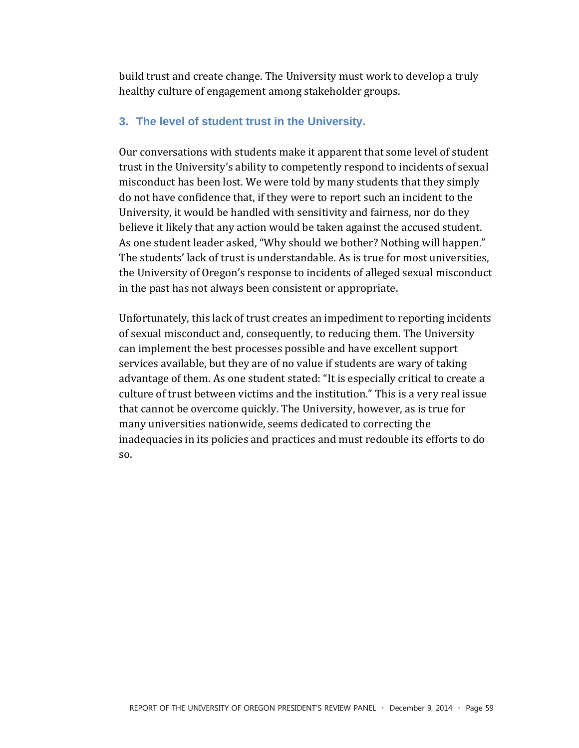build trust and create change. The University must work to develop a truly healthy culture of engagement among stakeholder groups.

#### **3. The level of student trust in the University.**

Our conversations with students make it apparent that some level of student trust in the University's ability to competently respond to incidents of sexual misconduct has been lost. We were told by many students that they simply do not have confidence that, if they were to report such an incident to the University, it would be handled with sensitivity and fairness, nor do they believe it likely that any action would be taken against the accused student. As one student leader asked, "Why should we bother? Nothing will happen." The students' lack of trust is understandable. As is true for most universities, the University of Oregon's response to incidents of alleged sexual misconduct in the past has not always been consistent or appropriate.

Unfortunately, this lack of trust creates an impediment to reporting incidents of sexual misconduct and, consequently, to reducing them. The University can implement the best processes possible and have excellent support services available, but they are of no value if students are wary of taking advantage of them. As one student stated: "It is especially critical to create a culture of trust between victims and the institution." This is a very real issue that cannot be overcome quickly. The University, however, as is true for many universities nationwide, seems dedicated to correcting the inadequacies in its policies and practices and must redouble its efforts to do  $SO<sub>5</sub>$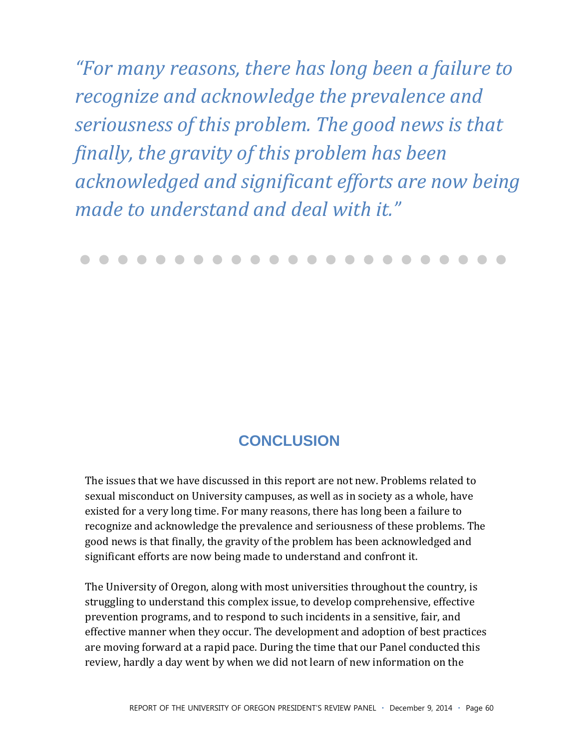"For many reasons, there has long been a failure to recognize and acknowledge the prevalence and seriousness of this problem. The good news is that finally, the gravity of this problem has been acknowledged and significant efforts are now being made to understand and deal with it."

## **CONCLUSION**

The issues that we have discussed in this report are not new. Problems related to sexual misconduct on University campuses, as well as in society as a whole, have existed for a very long time. For many reasons, there has long been a failure to recognize and acknowledge the prevalence and seriousness of these problems. The good news is that finally, the gravity of the problem has been acknowledged and significant efforts are now being made to understand and confront it.

The University of Oregon, along with most universities throughout the country, is struggling to understand this complex issue, to develop comprehensive, effective prevention programs, and to respond to such incidents in a sensitive, fair, and effective manner when they occur. The development and adoption of best practices are moving forward at a rapid pace. During the time that our Panel conducted this review, hardly a day went by when we did not learn of new information on the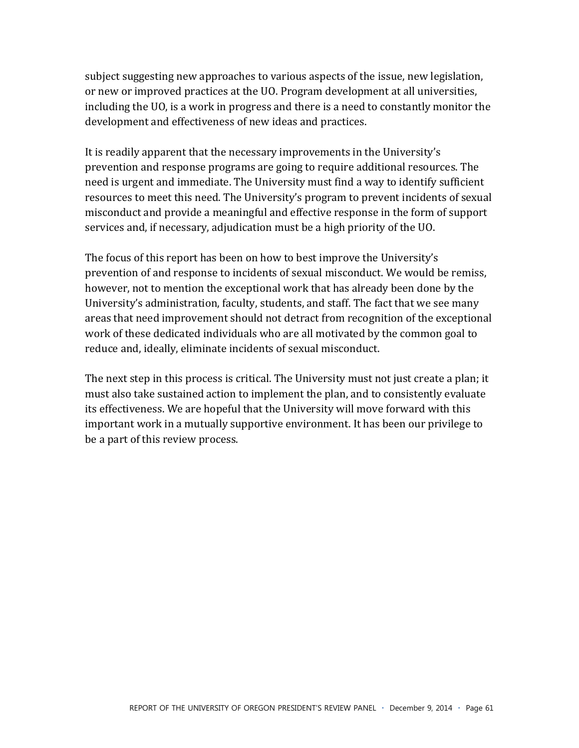subject suggesting new approaches to various aspects of the issue, new legislation, or new or improved practices at the UO. Program development at all universities, including the UO, is a work in progress and there is a need to constantly monitor the development and effectiveness of new ideas and practices.

It is readily apparent that the necessary improvements in the University's prevention and response programs are going to require additional resources. The need is urgent and immediate. The University must find a way to identify sufficient resources to meet this need. The University's program to prevent incidents of sexual misconduct and provide a meaningful and effective response in the form of support services and, if necessary, adjudication must be a high priority of the UO.

The focus of this report has been on how to best improve the University's prevention of and response to incidents of sexual misconduct. We would be remiss, however, not to mention the exceptional work that has already been done by the University's administration, faculty, students, and staff. The fact that we see many areas that need improvement should not detract from recognition of the exceptional work of these dedicated individuals who are all motivated by the common goal to reduce and, ideally, eliminate incidents of sexual misconduct.

The next step in this process is critical. The University must not just create a plan; it must also take sustained action to implement the plan, and to consistently evaluate its effectiveness. We are hopeful that the University will move forward with this important work in a mutually supportive environment. It has been our privilege to be a part of this review process.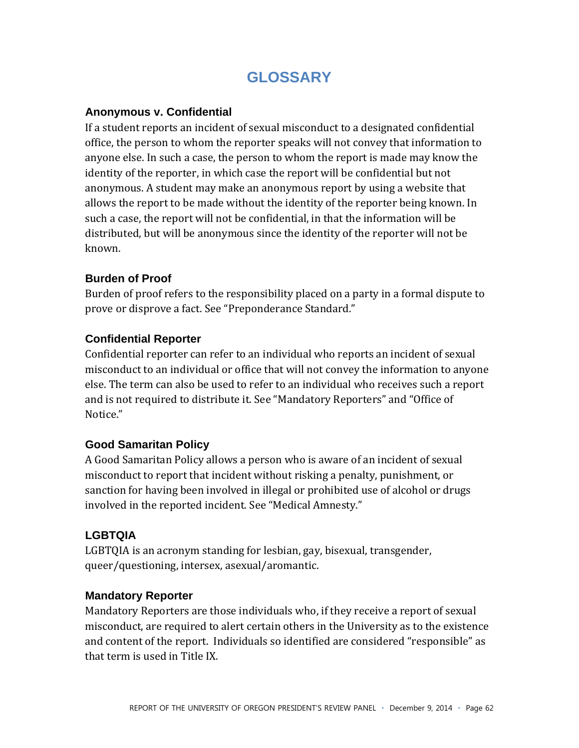## **GLOSSARY**

#### **Anonymous v. Confidential**

If a student reports an incident of sexual misconduct to a designated confidential office, the person to whom the reporter speaks will not convey that information to anyone else. In such a case, the person to whom the report is made may know the identity of the reporter, in which case the report will be confidential but not anonymous. A student may make an anonymous report by using a website that allows the report to be made without the identity of the reporter being known. In such a case, the report will not be confidential, in that the information will be distributed, but will be anonymous since the identity of the reporter will not be known.

#### **Burden of Proof**

Burden of proof refers to the responsibility placed on a party in a formal dispute to prove or disprove a fact. See "Preponderance Standard."

#### **Confidential Reporter**

Confidential reporter can refer to an individual who reports an incident of sexual misconduct to an individual or office that will not convey the information to anyone else. The term can also be used to refer to an individual who receives such a report and is not required to distribute it. See "Mandatory Reporters" and "Office of Notice."

#### **Good Samaritan Policy**

A Good Samaritan Policy allows a person who is aware of an incident of sexual misconduct to report that incident without risking a penalty, punishment, or sanction for having been involved in illegal or prohibited use of alcohol or drugs involved in the reported incident. See "Medical Amnesty."

#### **LGBTQIA**

LGBTQIA is an acronym standing for lesbian, gay, bisexual, transgender, queer/questioning, intersex, asexual/aromantic.

#### **Mandatory Reporter**

Mandatory Reporters are those individuals who, if they receive a report of sexual misconduct, are required to alert certain others in the University as to the existence and content of the report. Individuals so identified are considered "responsible" as that term is used in Title IX.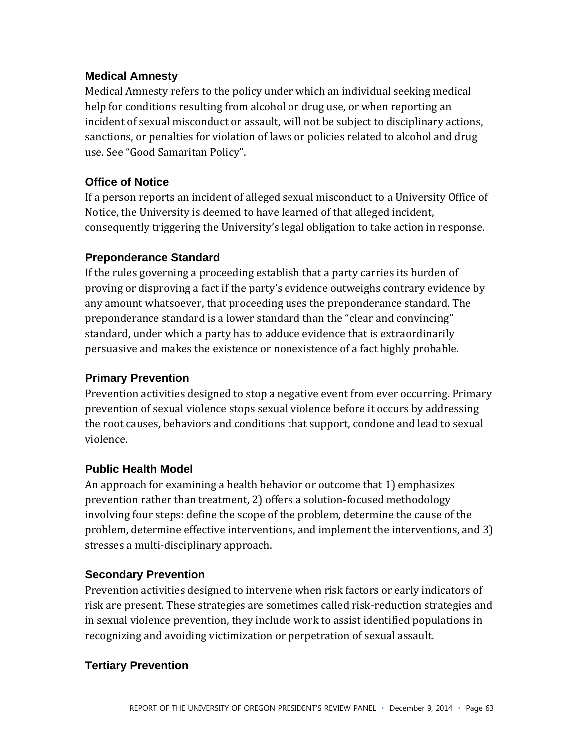#### **Medical Amnesty**

Medical Amnesty refers to the policy under which an individual seeking medical help for conditions resulting from alcohol or drug use, or when reporting an incident of sexual misconduct or assault, will not be subject to disciplinary actions, sanctions, or penalties for violation of laws or policies related to alcohol and drug use. See "Good Samaritan Policy".

#### **Office of Notice**

If a person reports an incident of alleged sexual misconduct to a University Office of Notice, the University is deemed to have learned of that alleged incident, consequently triggering the University's legal obligation to take action in response.

#### **Preponderance Standard**

If the rules governing a proceeding establish that a party carries its burden of proving or disproving a fact if the party's evidence outweighs contrary evidence by any amount whatsoever, that proceeding uses the preponderance standard. The preponderance standard is a lower standard than the "clear and convincing" standard, under which a party has to adduce evidence that is extraordinarily persuasive and makes the existence or nonexistence of a fact highly probable.

#### **Primary Prevention**

Prevention activities designed to stop a negative event from ever occurring. Primary prevention of sexual violence stops sexual violence before it occurs by addressing the root causes, behaviors and conditions that support, condone and lead to sexual violence.

#### **Public Health Model**

An approach for examining a health behavior or outcome that 1) emphasizes prevention rather than treatment, 2) offers a solution-focused methodology involving four steps: define the scope of the problem, determine the cause of the problem, determine effective interventions, and implement the interventions, and 3) stresses a multi-disciplinary approach.

#### **Secondary Prevention**

Prevention activities designed to intervene when risk factors or early indicators of risk are present. These strategies are sometimes called risk-reduction strategies and in sexual violence prevention, they include work to assist identified populations in recognizing and avoiding victimization or perpetration of sexual assault.

#### **Tertiary Prevention**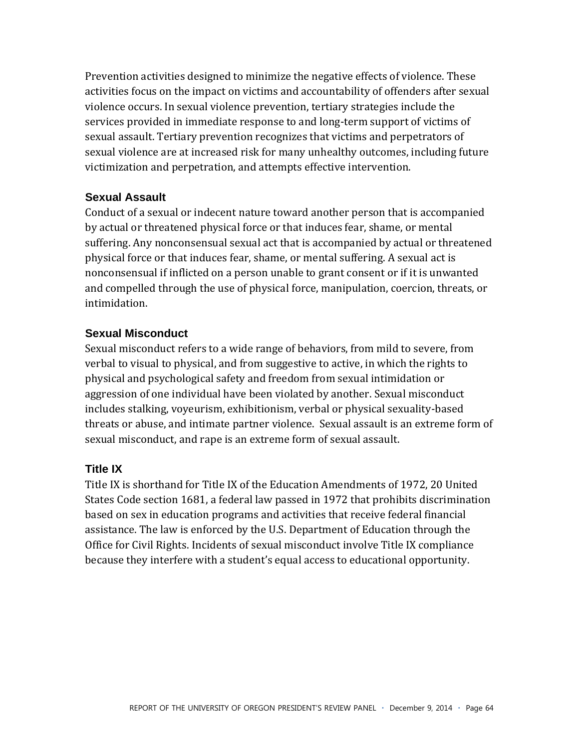Prevention activities designed to minimize the negative effects of violence. These activities focus on the impact on victims and accountability of offenders after sexual violence occurs. In sexual violence prevention, tertiary strategies include the services provided in immediate response to and long-term support of victims of sexual assault. Tertiary prevention recognizes that victims and perpetrators of sexual violence are at increased risk for many unhealthy outcomes, including future victimization and perpetration, and attempts effective intervention.

#### **Sexual Assault**

Conduct of a sexual or indecent nature toward another person that is accompanied by actual or threatened physical force or that induces fear, shame, or mental suffering. Any nonconsensual sexual act that is accompanied by actual or threatened physical force or that induces fear, shame, or mental suffering. A sexual act is nonconsensual if inflicted on a person unable to grant consent or if it is unwanted and compelled through the use of physical force, manipulation, coercion, threats, or intimidation.

#### **Sexual Misconduct**

Sexual misconduct refers to a wide range of behaviors, from mild to severe, from verbal to visual to physical, and from suggestive to active, in which the rights to physical and psychological safety and freedom from sexual intimidation or aggression of one individual have been violated by another. Sexual misconduct includes stalking, voyeurism, exhibitionism, verbal or physical sexuality-based threats or abuse, and intimate partner violence. Sexual assault is an extreme form of sexual misconduct, and rape is an extreme form of sexual assault.

#### **Title IX**

Title IX is shorthand for Title IX of the Education Amendments of 1972, 20 United States Code section 1681, a federal law passed in 1972 that prohibits discrimination based on sex in education programs and activities that receive federal financial assistance. The law is enforced by the U.S. Department of Education through the Office for Civil Rights. Incidents of sexual misconduct involve Title IX compliance because they interfere with a student's equal access to educational opportunity.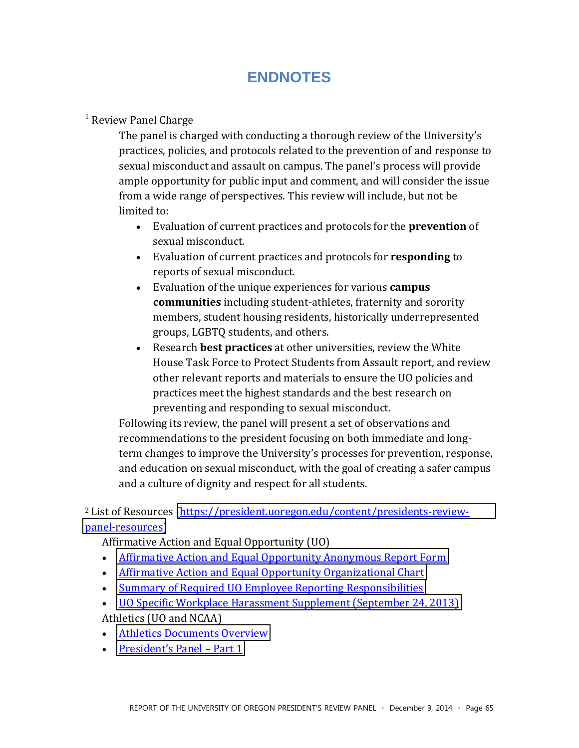## **ENDNOTES**

#### $<sup>1</sup>$  Review Panel Charge</sup>

The panel is charged with conducting a thorough review of the University's practices, policies, and protocols related to the prevention of and response to sexual misconduct and assault on campus. The panel's process will provide ample opportunity for public input and comment, and will consider the issue from a wide range of perspectives. This review will include, but not be limited to:

- **Evaluation of current practices and protocols for the prevention of** sexual misconduct.
- **Evaluation of current practices and protocols for responding to** reports of sexual misconduct.
- **Evaluation of the unique experiences for various campus communities** including student-athletes, fraternity and sorority members, student housing residents, historically underrepresented groups, LGBTQ students, and others.
- **Example 3 Research best practices** at other universities, review the White House Task Force to Protect Students from Assault report, and review other relevant reports and materials to ensure the UO policies and practices meet the highest standards and the best research on preventing and responding to sexual misconduct.

Following its review, the panel will present a set of observations and recommendations to the president focusing on both immediate and longterm changes to improve the University's processes for prevention, response, and education on sexual misconduct, with the goal of creating a safer campus and a culture of dignity and respect for all students.

<sup>2</sup> List of Resources (https://president.uoregon.edu/content/presidents-reviewpanel-resources)

Affirmative Action and Equal Opportunity (UO)

- Affirmative Action and Equal Opportunity Anonymous Report Form
- Affirmative Action and Equal Opportunity Organizational Chart
- Summary of Required UO Employee Reporting Responsibilities
- UO Specific Workplace Harassment Supplement (September 24, 2013) Athletics (UO and NCAA)
- Athletics Documents Overview
- President's Panel Part 1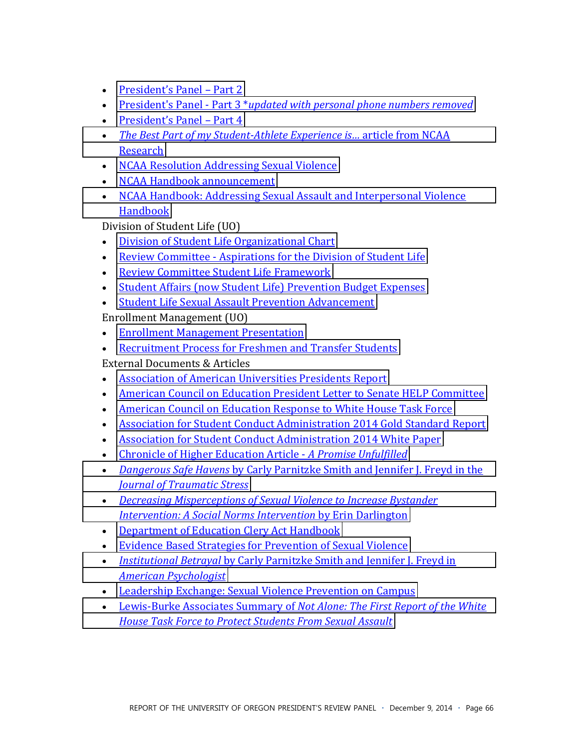- President's Panel Part 2
- President's Panel Part 3 \*updated with personal phone numbers removed
- President's Panel Part 4
- The Best Part of my Student-Athlete Experience is... article from NCAA Research
- NCAA Resolution Addressing Sexual Violence
- NCAA Handbook announcement
- NCAA Handbook: Addressing Sexual Assault and Interpersonal Violence Handbook

Division of Student Life (UO)

- Division of Student Life Organizational Chart
- Review Committee Aspirations for the Division of Student Life
- Review Committee Student Life Framework
- Student Affairs (now Student Life) Prevention Budget Expenses
- Student Life Sexual Assault Prevention Advancement

Enrollment Management (UO)

- Enrollment Management Presentation
- Recruitment Process for Freshmen and Transfer Students

**External Documents & Articles** 

- Association of American Universities Presidents Report
- American Council on Education President Letter to Senate HELP Committee
- American Council on Education Response to White House Task Force
- Association for Student Conduct Administration 2014 Gold Standard Report
- Association for Student Conduct Administration 2014 White Paper
- Chronicle of Higher Education Article A Promise Unfulfilled
- Dangerous Safe Havens by Carly Parnitzke Smith and Jennifer J. Freyd in the **Journal of Traumatic Stress**
- Decreasing Misperceptions of Sexual Violence to Increase Bystander **Intervention: A Social Norms Intervention by Erin Darlington**
- Department of Education Clery Act Handbook
- Evidence Based Strategies for Prevention of Sexual Violence
- Institutional Betrayal by Carly Parnitzke Smith and Jennifer J. Freyd in **American Psychologist**
- Leadership Exchange: Sexual Violence Prevention on Campus
- Lewis-Burke Associates Summary of Not Alone: The First Report of the White **House Task Force to Protect Students From Sexual Assault**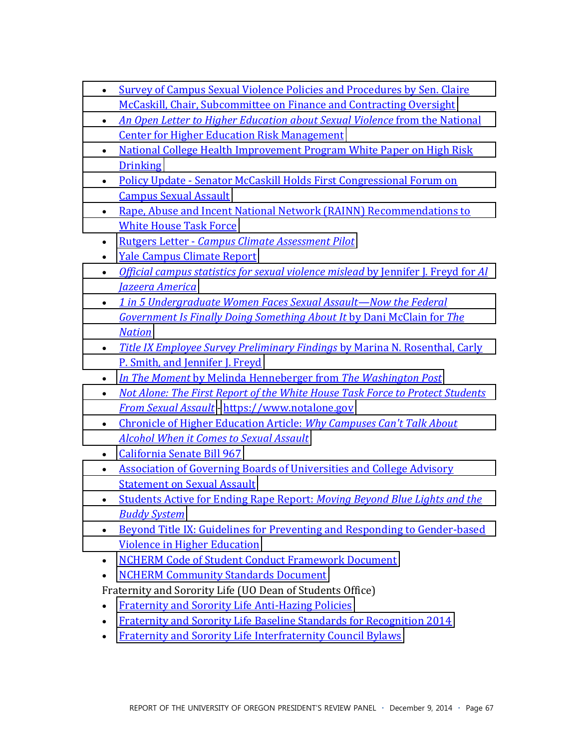- Survey of Campus Sexual Violence Policies and Procedures by Sen. Claire McCaskill, Chair, Subcommittee on Finance and Contracting Oversight
- \* An Open Letter *to Higher Education about Sexual Violence* from the National **Center for Higher Education Risk Management**
- National College Health Improvement Program White Paper on High Risk [Drinking](http://president.uoregon.edu/sites/president2.wc-sites.uoregon.edu/files/field/image/NCHIP%20White%20Paper%20on%20High%20Risk%20Drinking.pdf)
- Policy Update Senator McCaskill Holds First Congressional Forum on **Campus Sexual Assault**
- Rape, Abuse and Incent National Network (RAINN) Recommendations to White House Task Force
- \* Rutgers Letter *Campus Climate Assessment Pilot*
- Yale Campus Climate Report
- *Official campus statistics for sexual violence mislead* by Jennifer J. Freyd for *Al [Jazeera\\*America](http://america.aljazeera.com/opinions/2014/7/college-campus-sexualassaultsafetydatawhitehousegender.html)*
- **\*** 1 in 5 Undergraduate Women Faces Sexual Assault—Now the Federal *Government Is Finally Doing Something About It by Dani McClain for The [Nation](http://www.thenation.com/blog/179759/1-5-undergraduate-women-faces-sexual-assault-now-federal-government-finally-doing-someth)*
- **\*** *Title IX Employee Survey Preliminary Findings by Marina N. Rosenthal, Carly* P. Smith, and Jennifer J. Freyd
- **•** *<u>In The Moment by Melinda Henneberger from The Washington Post*</u>
- *Not Alone: The First Report of the White House Task Force to Protect Students From Sexual Assault - https://www.notalone.gov*
- Chronicle of Higher Education Article: *Why Campuses Can't Talk About [Alcohol\\*When\\*it\\*Comes\\*to\\*Sexual\\*Assault](http://president.uoregon.edu/sites/president2.wc-sites.uoregon.edu/files/field/image/chronicle._article-why_campuses_cant_talk_about_alcohol_when_it_comes_to_sexual_assault.pdf)*
- $\bullet$  California Senate Bill 967
- Association of Governing Boards of Universities and College Advisory **Statement on Sexual Assault**
- Students Active for Ending Rape Report: *Moving Beyond Blue Lights and the [Buddy\\*System](http://president.uoregon.edu/sites/president2.wc-sites.uoregon.edu/files/field/image/beyond_blue_lights_and_buddy_systems.pdf)*
- **E** Beyond Title IX: Guidelines for Preventing and Responding to Gender-based Violence in Higher Education
- **NCHERM Code of Student Conduct Framework Document**
- NCHERM Community Standards Document

Fraternity and Sorority Life (UO Dean of Students Office)

- $\cdot$  Fraternity and Sorority Life Anti-Hazing Policies
- Fraternity and Sorority Life Baseline Standards for Recognition 2014
- Fraternity and Sorority Life Interfraternity Council Bylaws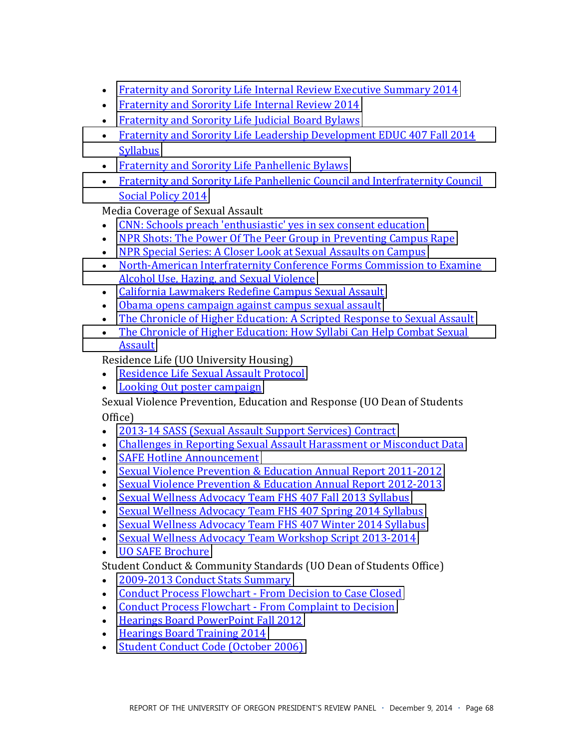- **Fraternity and Sorority Life Internal Review Executive Summary 2014**  $\bullet$
- Fraternity and Sorority Life Internal Review 2014
- Fraternity and Sorority Life Judicial Board Bylaws
- Fraternity and Sorority Life Leadership Development EDUC 407 Fall 2014 **Syllabus**
- Fraternity and Sorority Life Panhellenic Bylaws
- Fraternity and Sorority Life Panhellenic Council and Interfraternity Council **Social Policy 2014**

Media Coverage of Sexual Assault

- CNN: Schools preach 'enthusiastic' yes in sex consent education
- NPR Shots: The Power Of The Peer Group in Preventing Campus Rape
- NPR Special Series: A Closer Look at Sexual Assaults on Campus
- North-American Interfraternity Conference Forms Commission to Examine Alcohol Use, Hazing, and Sexual Violence
- California Lawmakers Redefine Campus Sexual Assault
- Obama opens campaign against campus sexual assault
- The Chronicle of Higher Education: A Scripted Response to Sexual Assault
- The Chronicle of Higher Education: How Syllabi Can Help Combat Sexual **Assault**

Residence Life (UO University Housing)

- **Residence Life Sexual Assault Protocol**  $\bullet$
- Looking Out poster campaign  $\bullet$

Sexual Violence Prevention, Education and Response (UO Dean of Students Office)

- 2013-14 SASS (Sexual Assault Support Services) Contract
- Challenges in Reporting Sexual Assault Harassment or Misconduct Data
- SAFE Hotline Announcement
- Sexual Violence Prevention & Education Annual Report 2011-2012
- Sexual Violence Prevention & Education Annual Report 2012-2013
- Sexual Wellness Advocacy Team FHS 407 Fall 2013 Syllabus
- Sexual Wellness Advocacy Team FHS 407 Spring 2014 Syllabus
- Sexual Wellness Advocacy Team FHS 407 Winter 2014 Syllabus
- Sexual Wellness Advocacy Team Workshop Script 2013-2014
- UO SAFE Brochure

Student Conduct & Community Standards (UO Dean of Students Office)

- 2009-2013 Conduct Stats Summary
- Conduct Process Flowchart From Decision to Case Closed
- Conduct Process Flowchart From Complaint to Decision
- Hearings Board PowerPoint Fall 2012
- Hearings Board Training 2014
- · Student Conduct Code (October 2006)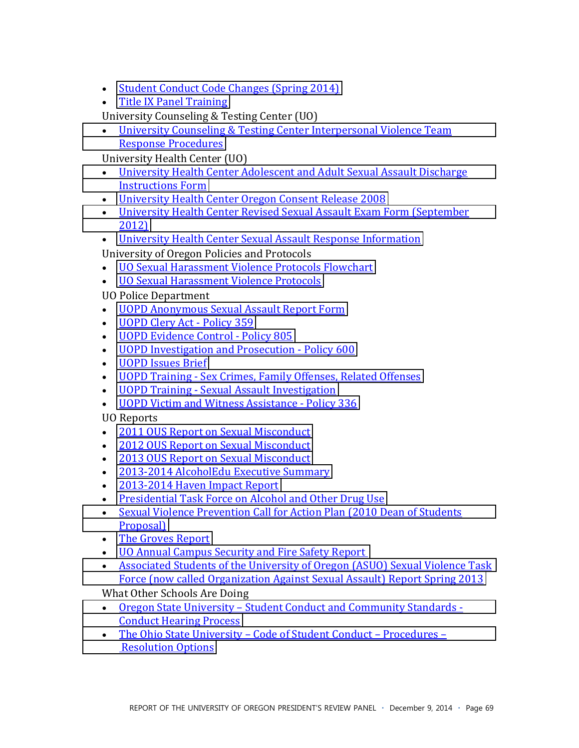- $\bullet$  Student Conduct Code Changes (Spring 2014)
- $\bullet$  Title IX Panel Training

University Counseling & Testing Center (UO)

• University Counseling & Testing Center Interpersonal Violence Team Response Procedures

University Health Center (UO)

- University Health Center Adolescent and Adult Sexual Assault Discharge **Instructions Form**
- University Health Center Oregon Consent Release 2008
- University Health Center Revised Sexual Assault Exam Form (September [2012\)](http://president.uoregon.edu/sites/president2.wc-sites.uoregon.edu/files/field/image/UHC%20Revised-SA-Exam-Form-Sept-2012.pdf)
- University Health Center Sexual Assault Response Information

University of Oregon Policies and Protocols

- **UO Sexual Harassment Violence Protocols Flowchart**
- UO Sexual Harassment Violence Protocols

UO Police Department

- UOPD Anonymous Sexual Assault Report Form
- UOPD Clery Act Policy 359
- UOPD Evidence Control Policy 805
- $\bullet$  UOPD Investigation and Prosecution Policy 600
- UOPD Issues Brief
- UOPD Training Sex Crimes, Family Offenses, Related Offenses
- **•** UOPD Training Sexual Assault Investigation
- UOPD Victim and Witness Assistance Policy 336

UO Reports

- 2011 OUS Report on Sexual Misconduct
- 2012 OUS Report on Sexual Misconduct
- 2013 OUS Report on Sexual Misconduct
- 2013-2014 AlcoholEdu Executive Summary
- $\cdot$  2013-2014 Haven Impact Report
- Presidential Task Force on Alcohol and Other Drug Use
- Sexual Violence Prevention Call for Action Plan (2010 Dean of Students [Proposal\)](http://president.uoregon.edu/sites/president2.wc-sites.uoregon.edu/files/field/image/Sexual%20Violence%20Prevention%20A%20Call%20to%20Action.pdf)
- The Groves Report
- UO Annual Campus Security and Fire Safety Report
- Associated Students of the University of Oregon (ASUO) Sexual Violence Task Force (now called Organization Against Sexual Assault) Report Spring 2013

What Other Schools Are Doing

- Oregon State University Student Conduct and Community Standards -**Conduct Hearing Process**
- The Ohio State University Code of Student Conduct Procedures **Resolution Options**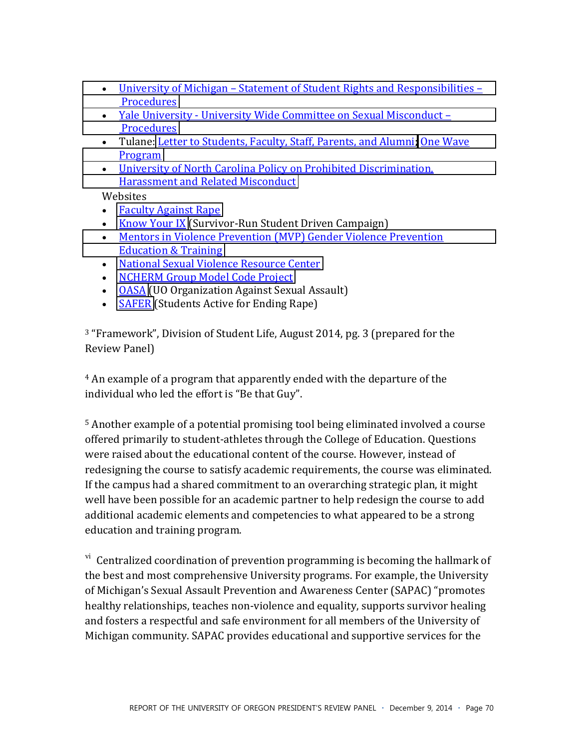- University of Michigan Statement of Student Rights and Responsibilities -Procedures
- Yale University University Wide Committee on Sexual Misconduct -Procedures
- Tulane: Letter to Students, Faculty, Staff, Parents, and Alumni; One Wave Program
- University of North Carolina Policy on Prohibited Discrimination. **Harassment and Related Misconduct**

Websites

- Faculty Against Rape
- Know Your IX (Survivor-Run Student Driven Campaign)
- Mentors in Violence Prevention (MVP) Gender Violence Prevention **Education & Training**
- National Sexual Violence Resource Center
- NCHERM Group Model Code Project
- OASA (UO Organization Against Sexual Assault)
- SAFER (Students Active for Ending Rape)

<sup>3</sup> "Framework", Division of Student Life, August 2014, pg. 3 (prepared for the Review Panel)

<sup>4</sup> An example of a program that apparently ended with the departure of the individual who led the effort is "Be that Guy".

<sup>5</sup> Another example of a potential promising tool being eliminated involved a course offered primarily to student-athletes through the College of Education. Questions were raised about the educational content of the course. However, instead of redesigning the course to satisfy academic requirements, the course was eliminated. If the campus had a shared commitment to an overarching strategic plan, it might well have been possible for an academic partner to help redesign the course to add additional academic elements and competencies to what appeared to be a strong education and training program.

<sup>vi</sup> Centralized coordination of prevention programming is becoming the hallmark of the best and most comprehensive University programs. For example, the University of Michigan's Sexual Assault Prevention and Awareness Center (SAPAC) "promotes healthy relationships, teaches non-violence and equality, supports survivor healing and fosters a respectful and safe environment for all members of the University of Michigan community. SAPAC provides educational and supportive services for the